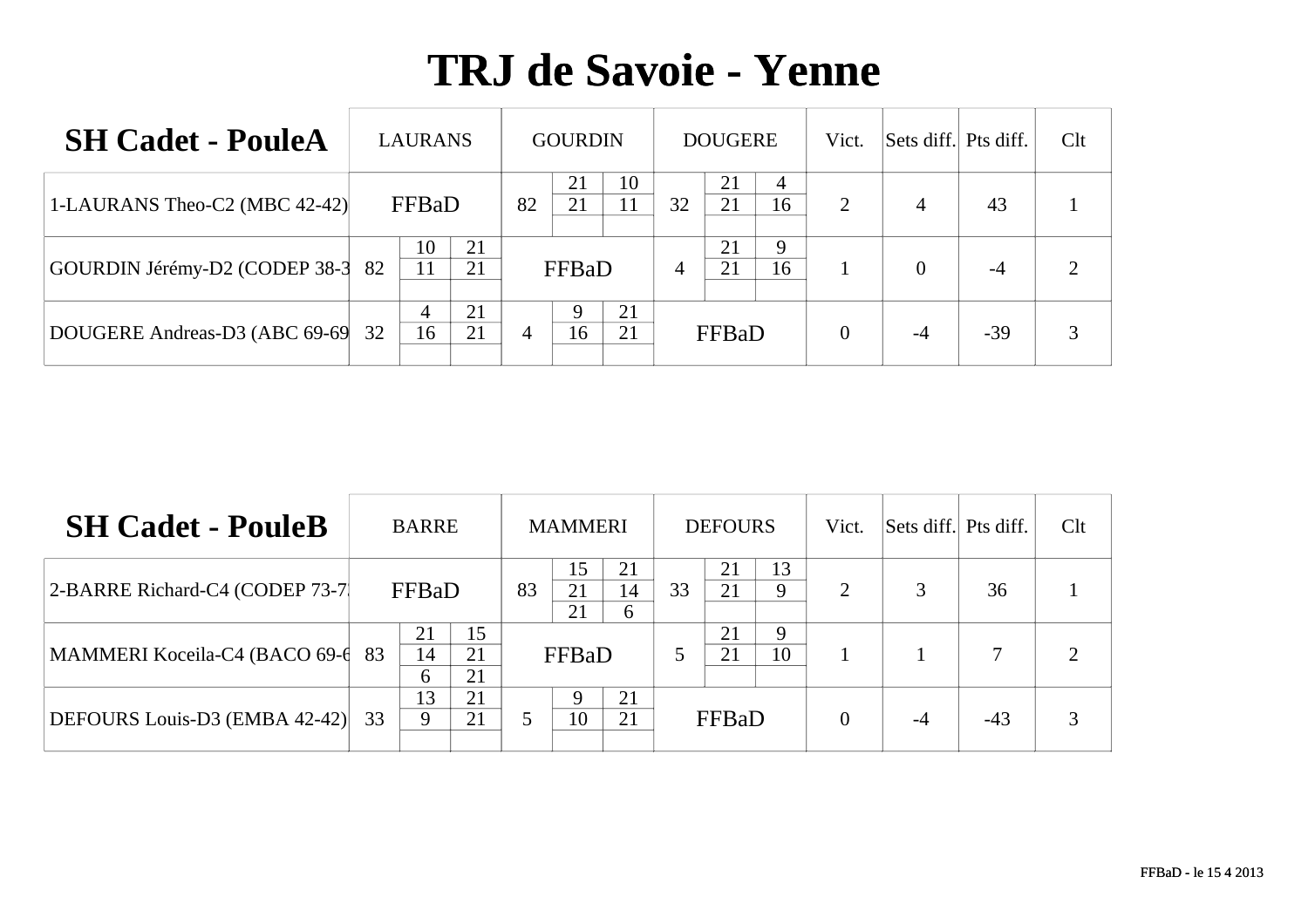| <b>SH Cadet - PouleA</b>      | <b>LAURANS</b> |          |    | <b>GOURDIN</b> |          |    | <b>DOUGERE</b> |         | Vict.          | Sets diff. Pts diff. |       | Clt |
|-------------------------------|----------------|----------|----|----------------|----------|----|----------------|---------|----------------|----------------------|-------|-----|
| 1-LAURANS Theo-C2 (MBC 42-42) | FFBaD          |          | 82 | 21<br>21       | 10<br>11 | 32 | 21<br>21       | 4<br>16 | 2              | $\overline{4}$       | 43    |     |
| GOURDIN Jérémy-D2 (CODEP 38-3 | 10<br>82<br>11 | 21<br>21 |    | FFBaD          |          | 4  | 21<br>21       | 9<br>16 |                | 0                    | -4    |     |
| DOUGERE Andreas-D3 (ABC 69-69 | 4<br>16<br>32  | 21<br>21 | 4  | 16             | 21<br>21 |    | FFBaD          |         | $\overline{0}$ |                      | $-39$ |     |

| <b>SH Cadet - PouleB</b>        |    | <b>BARRE</b>  |                |    | <b>MAMMERI</b> |               |    | <b>DEFOURS</b> |         | Vict.    | Sets diff. Pts diff. |       | Clt |
|---------------------------------|----|---------------|----------------|----|----------------|---------------|----|----------------|---------|----------|----------------------|-------|-----|
| 2-BARRE Richard-C4 (CODEP 73-7) |    | FFBaD         |                | 83 | 15<br>21<br>21 | 21<br>14<br>6 | 33 | 21<br>21       | 13<br>9 | ∍        | $\mathcal{R}$        | 36    |     |
| MAMMERI Koceila-C4 (BACO 69-6   | 83 | 21<br>14<br>6 | 15<br>21<br>21 |    | FFBaD          |               | 5  | 21<br>21       | Q<br>10 |          |                      |       |     |
| DEFOURS Louis-D3 (EMBA 42-42)   | 33 | 13<br>9       | 21<br>21       |    | 10             | 21<br>21      |    | FFBaD          |         | $\theta$ |                      | $-43$ |     |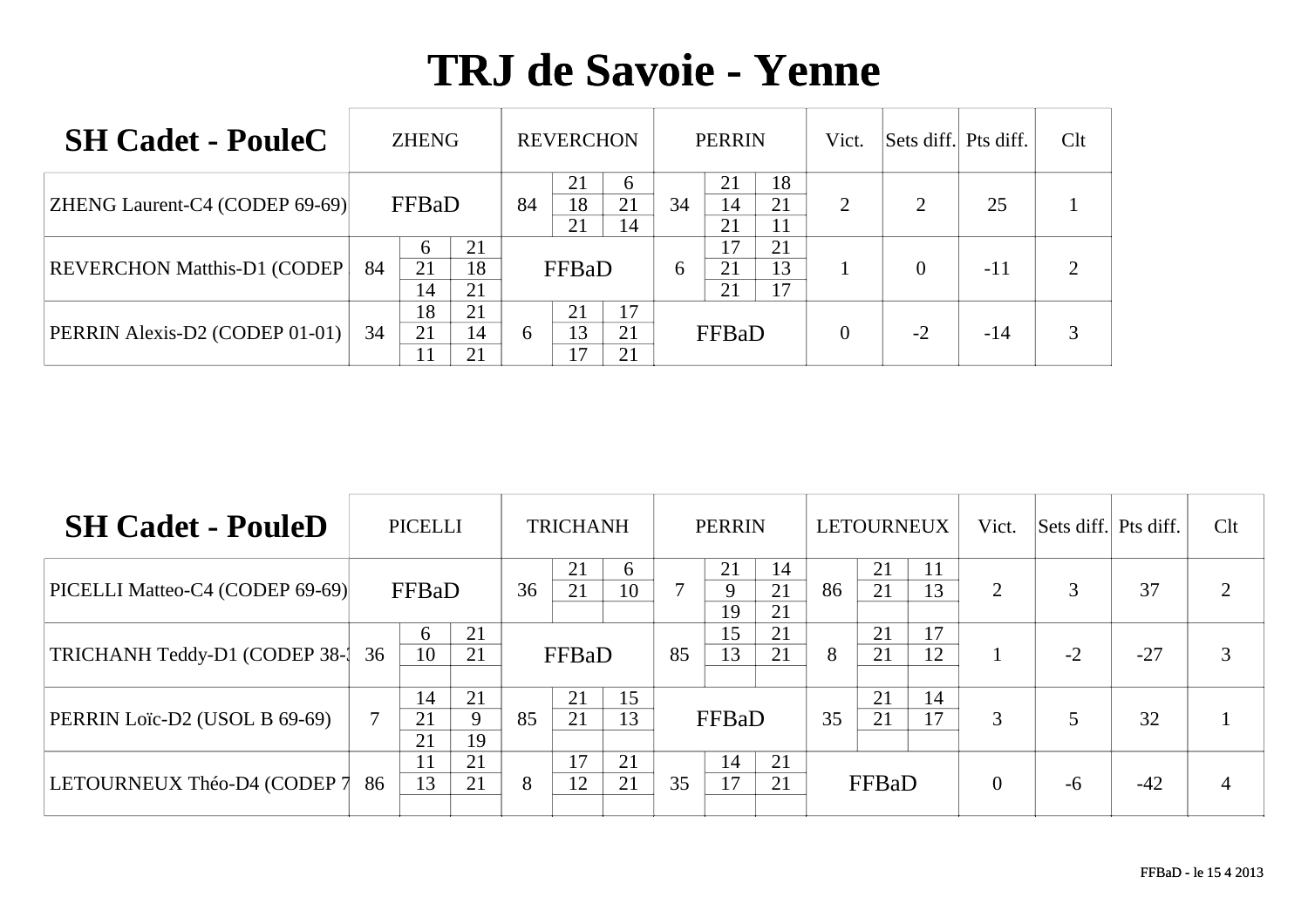| <b>SH Cadet - PouleC</b>              |    | <b>ZHENG</b>  |                |    | <b>REVERCHON</b> |                |    | <b>PERRIN</b>  |                | Vict.          | Sets diff. Pts diff. |       | Clt |
|---------------------------------------|----|---------------|----------------|----|------------------|----------------|----|----------------|----------------|----------------|----------------------|-------|-----|
| <b>ZHENG Laurent-C4 (CODEP 69-69)</b> |    | FFBaD         |                | 84 | 21<br>18<br>21   | 6<br>21<br>14  | 34 | 21<br>14<br>21 | 18<br>21<br>11 | $\overline{2}$ |                      | 25    |     |
| <b>REVERCHON Matthis-D1 (CODEP)</b>   | 84 | 6<br>21<br>14 | 21<br>18<br>21 |    | FFBaD            |                | 6  | 17<br>21<br>21 | 21<br>13<br>17 |                |                      | $-11$ | ◠   |
| PERRIN Alexis-D2 (CODEP 01-01)        | 34 | 18<br>21      | 21<br>14<br>21 | 6  | 21<br>13<br>17   | 17<br>21<br>21 |    | FFBaD          |                | $\overline{0}$ | $-2$                 | $-14$ |     |

| <b>SH Cadet - PouleD</b>        |    | <b>PICELLI</b> |               |    | <b>TRICHANH</b> |          |    | <b>PERRIN</b> |                |    | LETOURNEUX |          | Vict.    | Sets diff. Pts diff. |       | Clt            |
|---------------------------------|----|----------------|---------------|----|-----------------|----------|----|---------------|----------------|----|------------|----------|----------|----------------------|-------|----------------|
| PICELLI Matteo-C4 (CODEP 69-69) |    | FFBaD          |               | 36 | 21<br>21        | 6<br>10  |    | 21<br>9<br>19 | 14<br>21<br>21 | 86 | 21<br>21   | 11<br>13 | 2        | 3                    | 37    | $\overline{2}$ |
| TRICHANH Teddy-D1 (CODEP 38-1   | 36 | 6<br>10        | 21<br>21      |    | FFBaD           |          | 85 | l 5<br>13     | 21<br>21       | 8  | 21<br>21   | 17<br>12 |          | $-2$                 | $-27$ | 3              |
| PERRIN Loïc-D2 (USOL B 69-69)   | 7  | 14<br>21<br>21 | 21<br>9<br>19 | 85 | 21<br>21        | 15<br>13 |    | FFBaD         |                | 35 | 21<br>21   | 14<br>17 | 3        |                      | 32    |                |
| LETOURNEUX Théo-D4 (CODEP 7     | 86 | 13             | 21<br>21      | 8  | 17<br>12        | 21<br>21 | 35 | 14<br>17      | 21<br>21       |    | FFBaD      |          | $\theta$ | -6                   | $-42$ | 4              |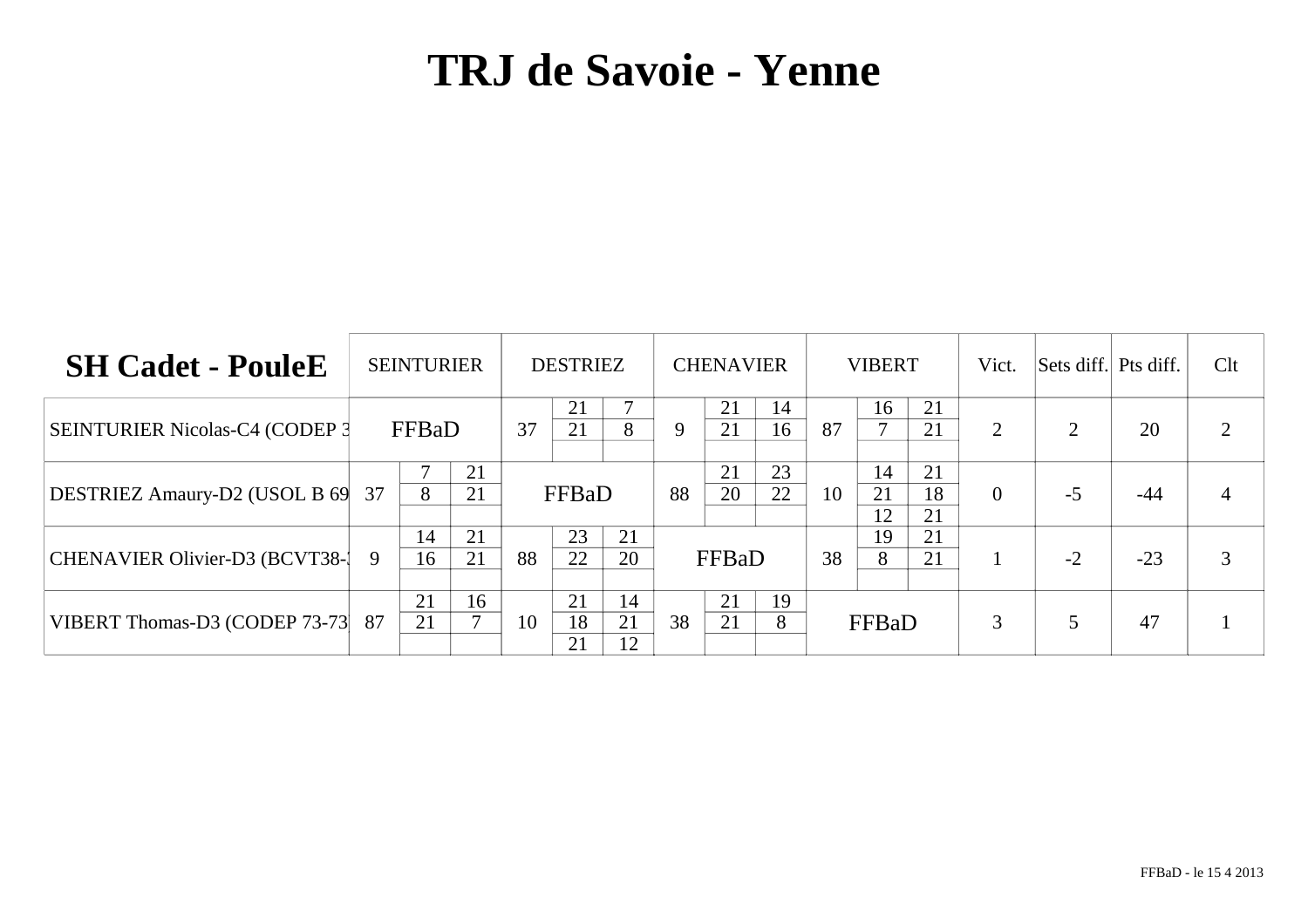| <b>SH Cadet - PouleE</b>               | <b>SEINTURIER</b>         |    | <b>DESTRIEZ</b>                  | <b>CHENAVIER</b>           | <b>VIBERT</b>                          | Vict.          | Sets diff. Pts diff. |       | Clt                         |
|----------------------------------------|---------------------------|----|----------------------------------|----------------------------|----------------------------------------|----------------|----------------------|-------|-----------------------------|
| <b>SEINTURIER Nicolas-C4 (CODEP 3)</b> | FFBaD                     | 37 | 21<br>21<br>8                    | 21<br>14<br>21<br>16<br>9  | 21<br>16<br>21<br>87                   | $\overline{2}$ |                      | 20    | $\mathcal{D}_{\mathcal{L}}$ |
| <b>DESTRIEZ Amaury-D2 (USOL B 69)</b>  | 21<br>8<br>21<br>37       |    | FFBaD                            | 23<br>21<br>22<br>20<br>88 | 14<br>21<br>21<br>18<br>10<br>21<br>12 | $\theta$       | $-5$                 | $-44$ |                             |
| CHENAVIER Olivier-D3 (BCVT38-1)        | 21<br>14<br>21<br>9<br>16 | 88 | 23<br>21<br>22<br>20             | FFBaD                      | 21<br>19<br>21<br>38<br>8              |                | $-2$                 | $-23$ | 3                           |
| VIBERT Thomas-D3 (CODEP 73-73)         | 21<br>16<br>⇁<br>21<br>87 | 10 | 21<br>14<br>18<br>21<br>21<br>12 | 21<br>19<br>38<br>21<br>8  | FFBaD                                  | 3              |                      | 47    |                             |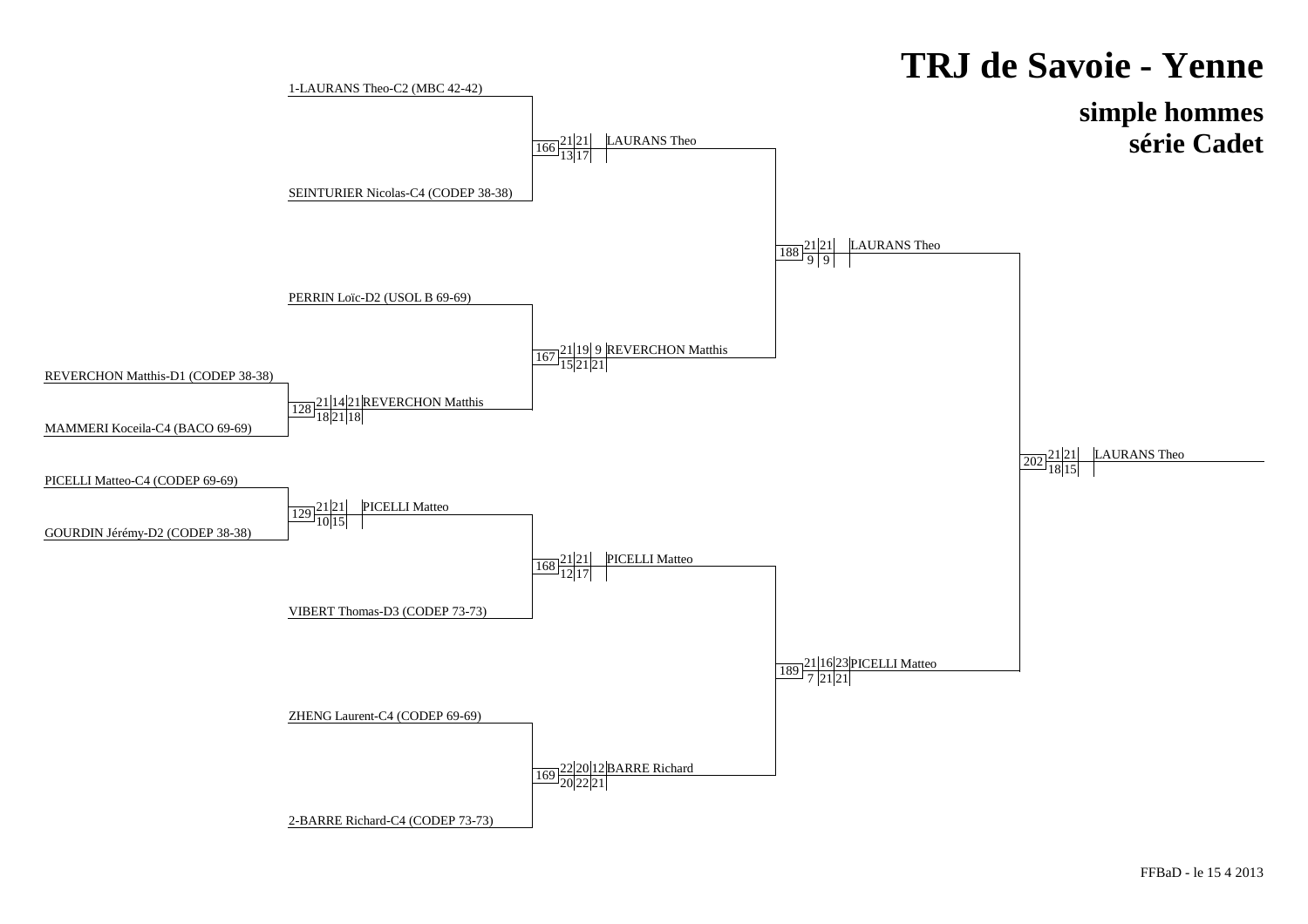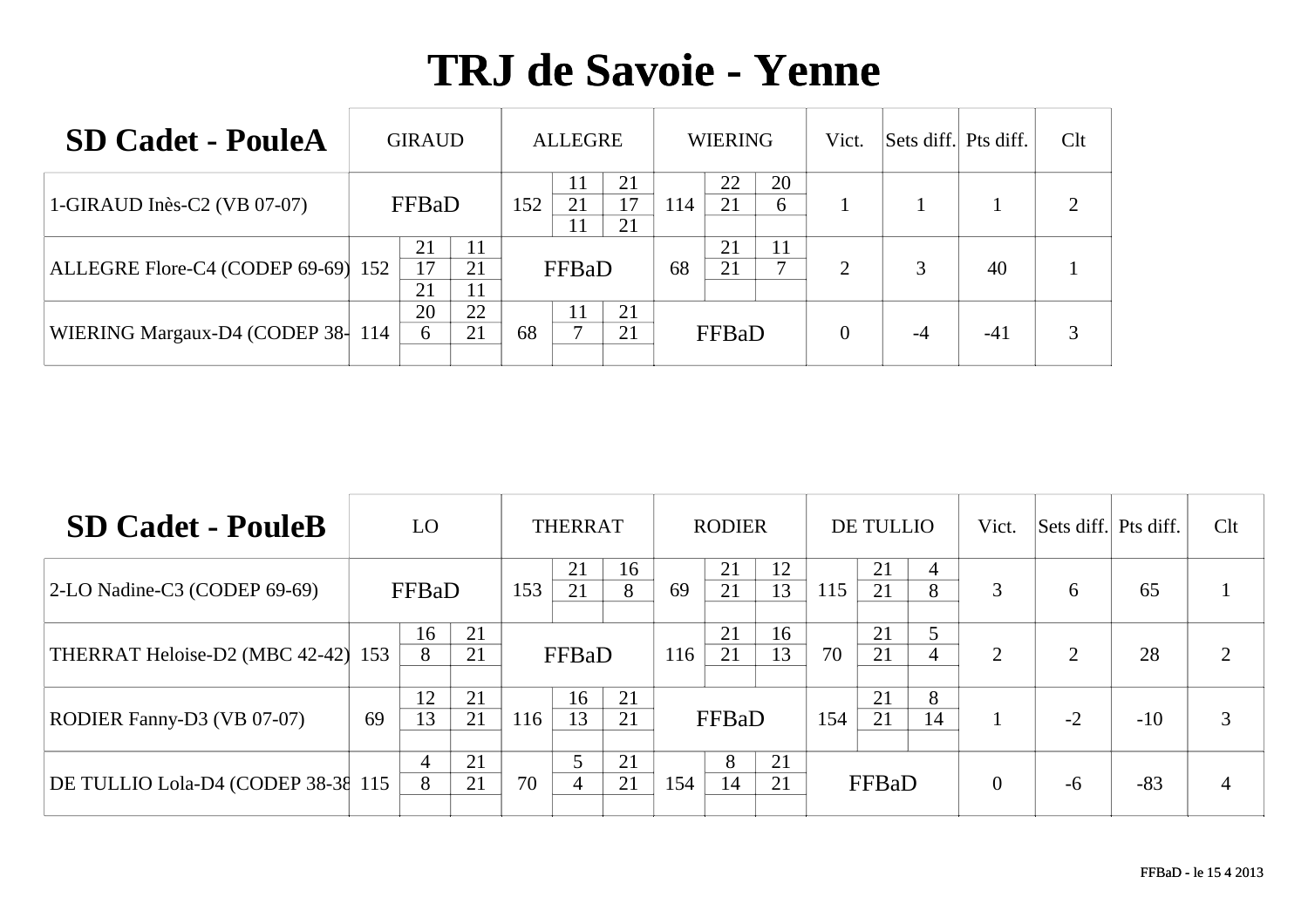| <b>SD Cadet - PouleA</b>           | <b>GIRAUD</b>                    |     | <b>ALLEGRE</b>               |     | <b>WIERING</b>      | Vict.          | Sets diff. Pts diff. |       | Clt |
|------------------------------------|----------------------------------|-----|------------------------------|-----|---------------------|----------------|----------------------|-------|-----|
| 1-GIRAUD Inès-C2 (VB 07-07)        | FFBaD                            | 152 | 21<br>-1-1<br>17<br>21<br>21 | 114 | 22<br>20<br>21<br>6 |                |                      |       | 2   |
| ALLEGRE Flore-C4 (CODEP 69-69) 152 | 21<br>11<br>17<br>21<br>21<br>11 |     | FFBaD                        | 68  | 21<br>11<br>⇁<br>21 | $\overline{2}$ |                      | 40    |     |
| WIERING Margaux-D4 (CODEP 38-114   | 20<br>22<br>21<br>6              | 68  | 21<br>21                     |     | FFBaD               | $\overline{0}$ | -4                   | $-41$ | 3   |

| <b>SD Cadet - PouleB</b>           |    | LO.      |          |     | <b>THERRAT</b> |          |     | <b>RODIER</b> |          |     | <b>DE TULLIO</b> |         | Vict.          | Sets diff. Pts diff. |       | Clt            |
|------------------------------------|----|----------|----------|-----|----------------|----------|-----|---------------|----------|-----|------------------|---------|----------------|----------------------|-------|----------------|
| $ 2$ -LO Nadine-C3 (CODEP 69-69)   |    | FFBaD    |          | 153 | 21<br>21       | 16<br>8  | 69  | 21<br>21      | 12<br>13 | 115 | 21<br>21         | 4<br>8  | 3              | 6                    | 65    |                |
| THERRAT Heloise-D2 (MBC 42-42) 153 |    | 16<br>8  | 21<br>21 |     | FFBaD          |          | 116 | 21<br>21      | 16<br>13 | 70  | 21<br>21         | 5<br>4  | 2              | $\overline{2}$       | 28    | $\overline{2}$ |
| <b>RODIER Fanny-D3 (VB 07-07)</b>  | 69 | 12<br>13 | 21<br>21 | 116 | 16<br>13       | 21<br>21 |     | FFBaD         |          | 154 | 21<br>21         | 8<br>14 |                | $-2$                 | $-10$ | 3              |
| DE TULLIO Lola-D4 (CODEP 38-38 115 |    | 4<br>8   | 21<br>21 | 70  | 4              | 21<br>21 | 154 | 8<br>14       | 21<br>21 |     | FFBaD            |         | $\overline{0}$ | $-6$                 | $-83$ |                |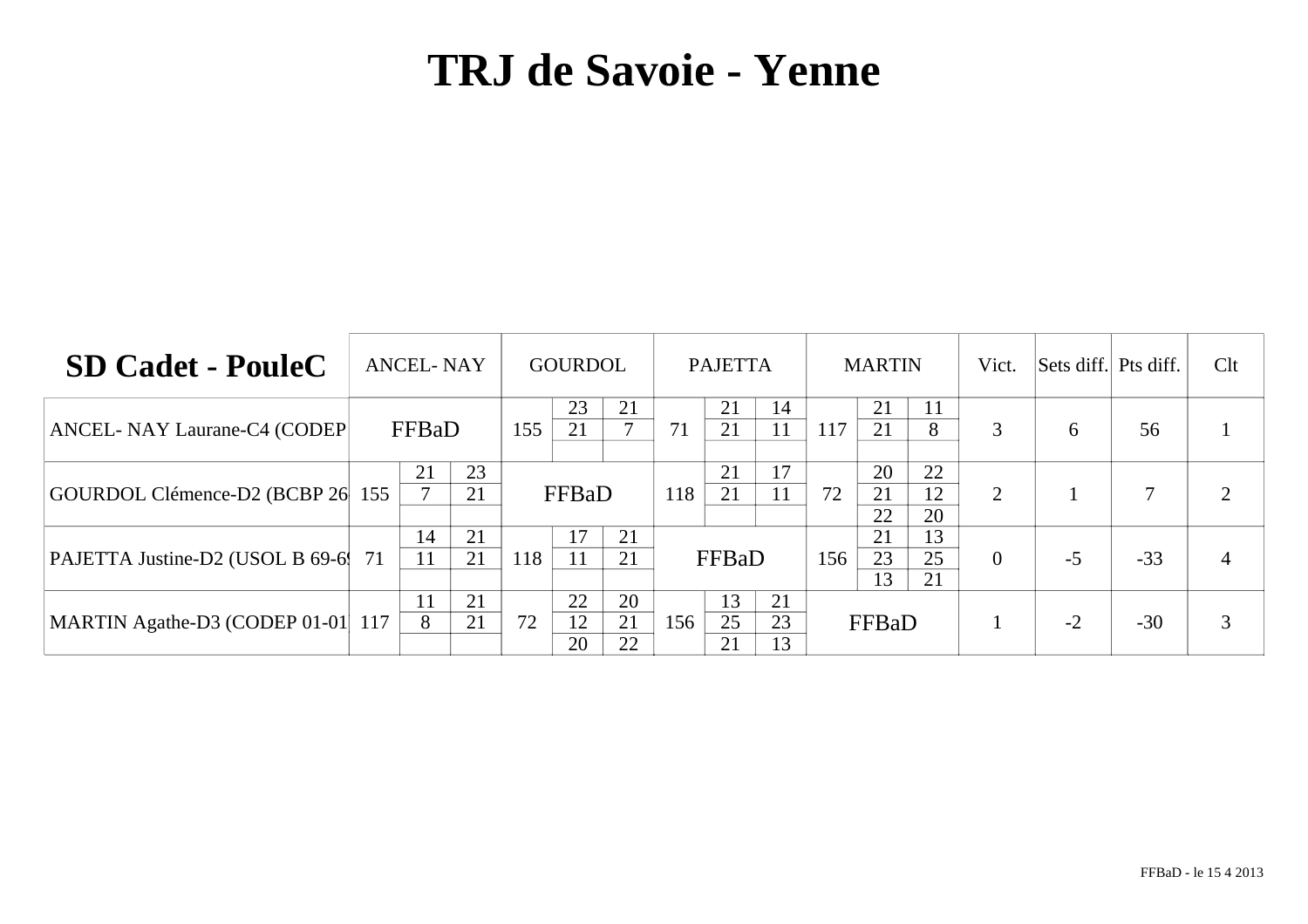| <b>SD Cadet - PouleC</b>          |     | <b>ANCEL-NAY</b> |          |     | <b>GOURDOL</b> |                |     | <b>PAJETTA</b> |                |     | <b>MARTIN</b>  |                | Vict.    | Sets diff. Pts diff. |       | Clt |
|-----------------------------------|-----|------------------|----------|-----|----------------|----------------|-----|----------------|----------------|-----|----------------|----------------|----------|----------------------|-------|-----|
| ANCEL- NAY Laurane-C4 (CODEP)     |     | FFBaD            |          | 155 | 23<br>21       | 21             | 71  | 21<br>21       | 14<br>11       | 117 | 21<br>21       | 11<br>8        | 3        | 6                    | 56    |     |
| GOURDOL Clémence-D2 (BCBP 26      | 155 | 21               | 23<br>21 |     | FFBaD          |                | 118 | 21<br>21       | 17<br>11       | 72  | 20<br>21<br>22 | 22<br>12<br>20 | 2        |                      |       |     |
| PAJETTA Justine-D2 (USOL B 69-6   | 71  | 14<br>11         | 21<br>21 | 118 | 17             | 21<br>21       |     | FFBaD          |                | 156 | 21<br>23<br>13 | 13<br>25<br>21 | $\theta$ | $-5$                 | $-33$ | 4   |
| MARTIN Agathe-D3 (CODEP 01-01 117 |     | 11<br>8          | 21<br>21 | 72  | 22<br>12<br>20 | 20<br>21<br>22 | 156 | 13<br>25<br>21 | 21<br>23<br>13 |     | FFBaD          |                |          | $-2$                 | $-30$ |     |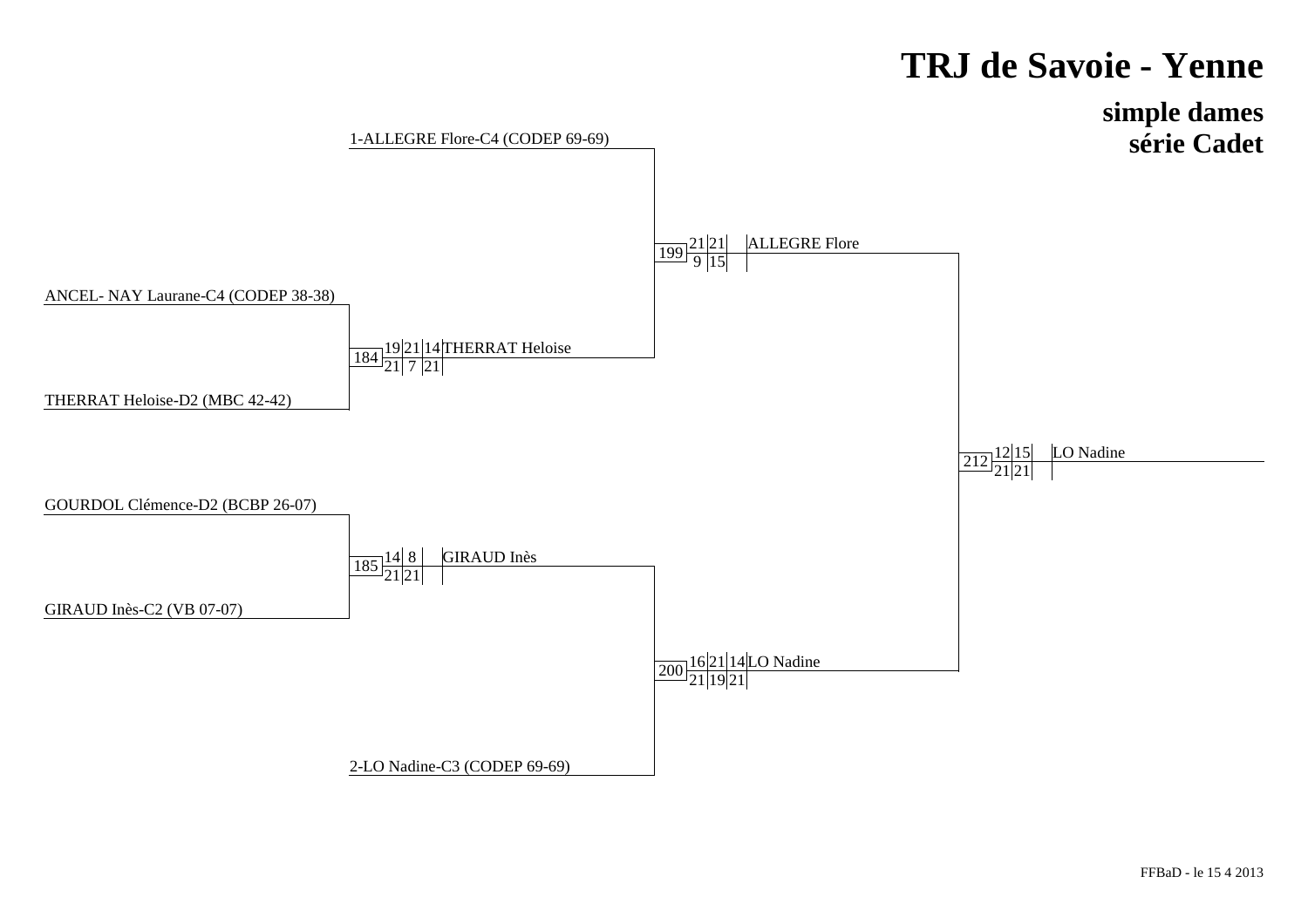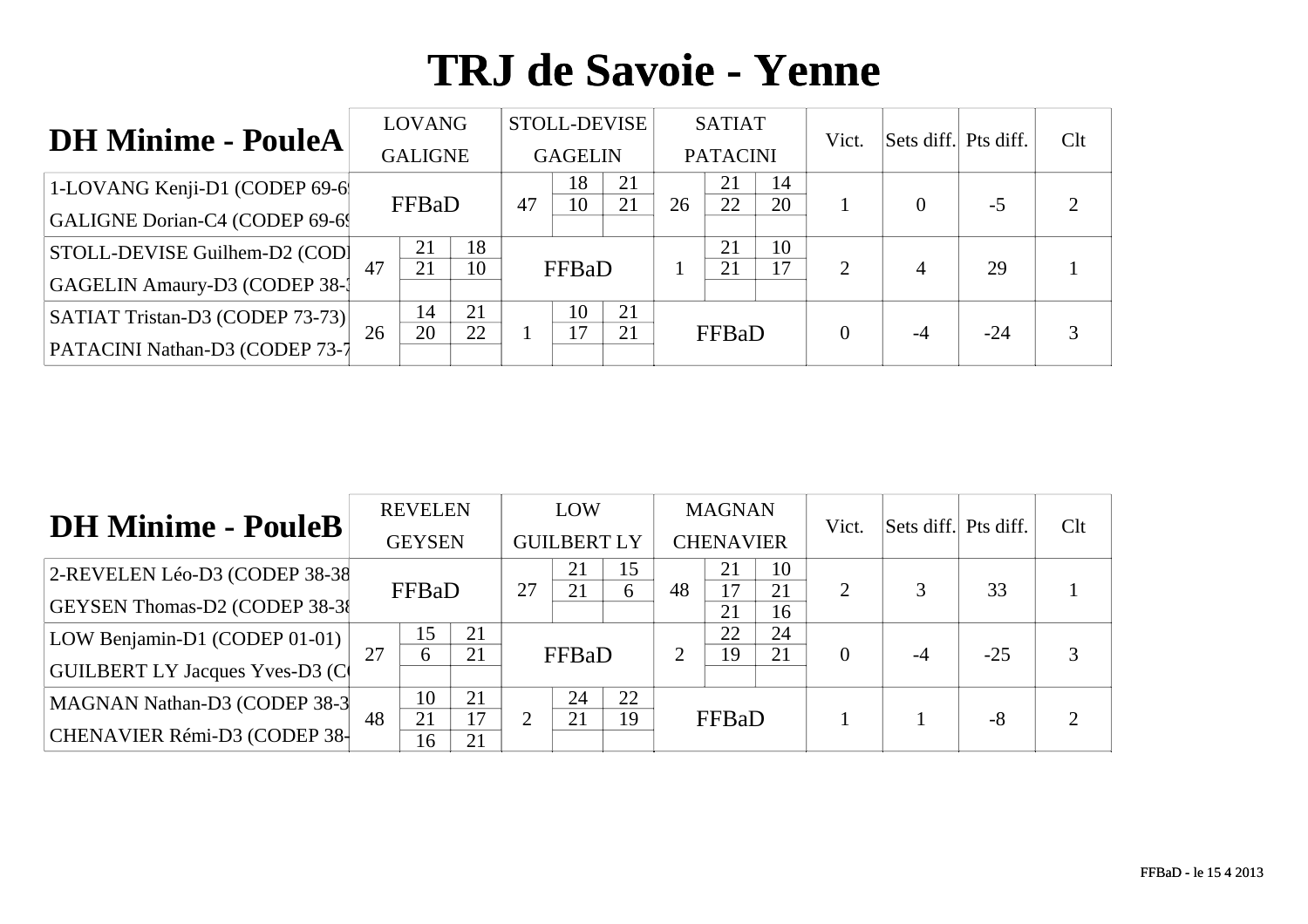| <b>DH Minime - PouleA</b>              |    | <b>LOVANG</b>  |          |    | STOLL-DEVISE         |          |    | <b>SATIAT</b>   |          | Vict.          | Sets diff. Pts diff. |       | Clt |
|----------------------------------------|----|----------------|----------|----|----------------------|----------|----|-----------------|----------|----------------|----------------------|-------|-----|
|                                        |    | <b>GALIGNE</b> |          |    | <b>GAGELIN</b>       |          |    | <b>PATACINI</b> |          |                |                      |       |     |
| 1-LOVANG Kenji-D1 (CODEP 69-6          |    |                |          | 47 | 18<br>10             | 21<br>21 | 26 | 21              | 14<br>20 |                | $\theta$             | $-5$  | ∍   |
| GALIGNE Dorian-C4 (CODEP 69-6          |    | FFBaD          |          |    |                      |          |    | 22              |          |                |                      |       |     |
| STOLL-DEVISE Guilhem-D2 (COD)          | 47 | 21<br>21       | 18<br>10 |    |                      |          |    | 21              | 10<br>17 | $\overline{2}$ |                      | 29    |     |
| GAGELIN Amaury-D3 (CODEP 38-1          |    |                |          |    | FFBaD                |          |    | 21              |          |                | 4                    |       |     |
| SATIAT Tristan-D3 (CODEP 73-73)        |    | 14             | 21<br>22 |    | 10<br>$\overline{7}$ | 21       |    |                 |          |                |                      |       |     |
| <b>PATACINI Nathan-D3 (CODEP 73-7)</b> | 26 | 20             |          |    |                      | 21       |    | FFBaD           |          | $\theta$       | $-4$                 | $-24$ | 3   |

| <b>DH Minime - PouleB</b>              |    | <b>REVELEN</b> |          |    | LOW                |    |                | <b>MAGNAN</b>    |          | Vict.    | Sets diff. Pts diff. |       | Clt            |
|----------------------------------------|----|----------------|----------|----|--------------------|----|----------------|------------------|----------|----------|----------------------|-------|----------------|
|                                        |    | <b>GEYSEN</b>  |          |    | <b>GUILBERT LY</b> |    |                | <b>CHENAVIER</b> |          |          |                      |       |                |
| 2-REVELEN Léo-D3 (CODEP 38-38)         |    |                |          |    | 21                 | 15 |                | 21               | 10       |          |                      |       |                |
| <b>GEYSEN Thomas-D2 (CODEP 38-3)</b>   |    | FFBaD          |          | 27 | 21                 | 6  | 48             | 17<br>21         | 21<br>16 | 2        |                      | 33    |                |
| LOW Benjamin-D1 (CODEP 01-01)          |    | 15             | 21       |    |                    |    |                | 22               | 24       |          |                      |       |                |
| <b>GUILBERT LY Jacques Yves-D3 (C)</b> | 27 | 6              | 21       |    | FFBaD              |    | $\overline{2}$ | 19               | 21       | $\Omega$ | $-4$                 | $-25$ |                |
| MAGNAN Nathan-D3 (CODEP 38-3           |    | 10             | 21       |    | 24                 | 22 |                |                  |          |          |                      |       |                |
| CHENAVIER Rémi-D3 (CODEP 38-           | 48 | 21<br>16       | 17<br>21 |    | 21                 | 19 |                | FFBaD            |          |          |                      | $-8$  | $\overline{2}$ |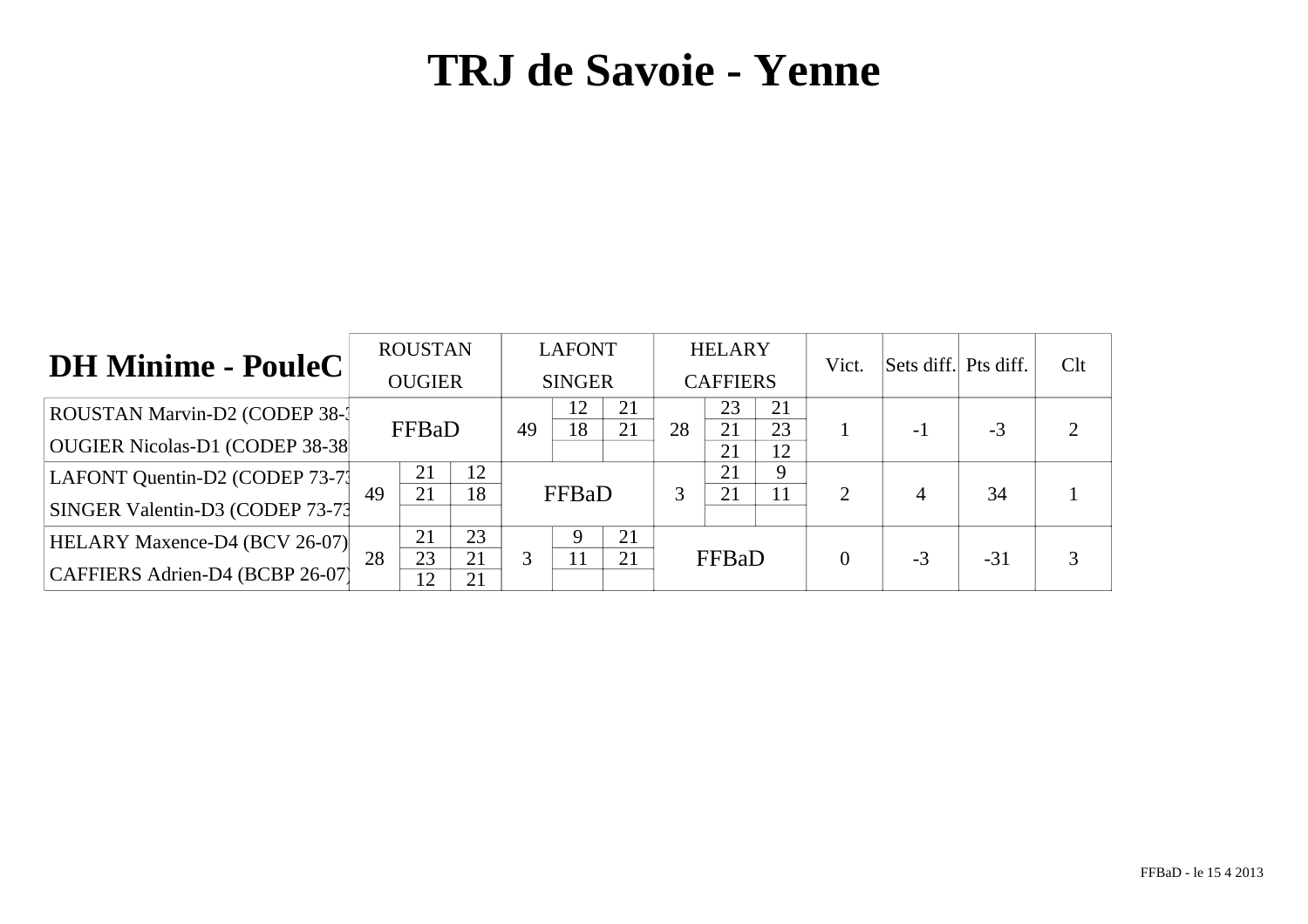| <b>DH Minime - PouleC</b>            |    | <b>ROUSTAN</b> |    |    | <b>LAFONT</b> |    |    | <b>HELARY</b>   |          | Vict.    | Sets diff. Pts diff. |       | Clt |
|--------------------------------------|----|----------------|----|----|---------------|----|----|-----------------|----------|----------|----------------------|-------|-----|
|                                      |    | <b>OUGIER</b>  |    |    | <b>SINGER</b> |    |    | <b>CAFFIERS</b> |          |          |                      |       |     |
| ROUSTAN Marvin-D2 (CODEP 38-1        |    |                |    |    | 12            | 21 |    | 23              | 21       |          |                      |       |     |
| OUGIER Nicolas-D1 (CODEP 38-38       |    | FFBaD          |    | 49 | 18            | 21 | 28 | 21<br>21        | 23<br>12 |          | -1                   | $-3$  |     |
| LAFONT Quentin-D2 (CODEP 73-71       |    | 21             | 12 |    |               |    |    | 21              | 9        |          |                      |       |     |
| SINGER Valentin-D3 (CODEP 73-73      | 49 | 21             | 18 |    | FFBaD         |    | 3  | 21              | 11       | 2        | 4                    | 34    |     |
| <b>HELARY Maxence-D4 (BCV 26-07)</b> |    | 21             | 23 |    |               | 21 |    |                 |          |          |                      |       |     |
|                                      | 28 | 23             | 21 |    | 11            | 21 |    | FFBaD           |          | $\theta$ | $-3$                 | $-31$ |     |
| CAFFIERS Adrien-D4 (BCBP 26-07)      |    | 12             | 21 |    |               |    |    |                 |          |          |                      |       |     |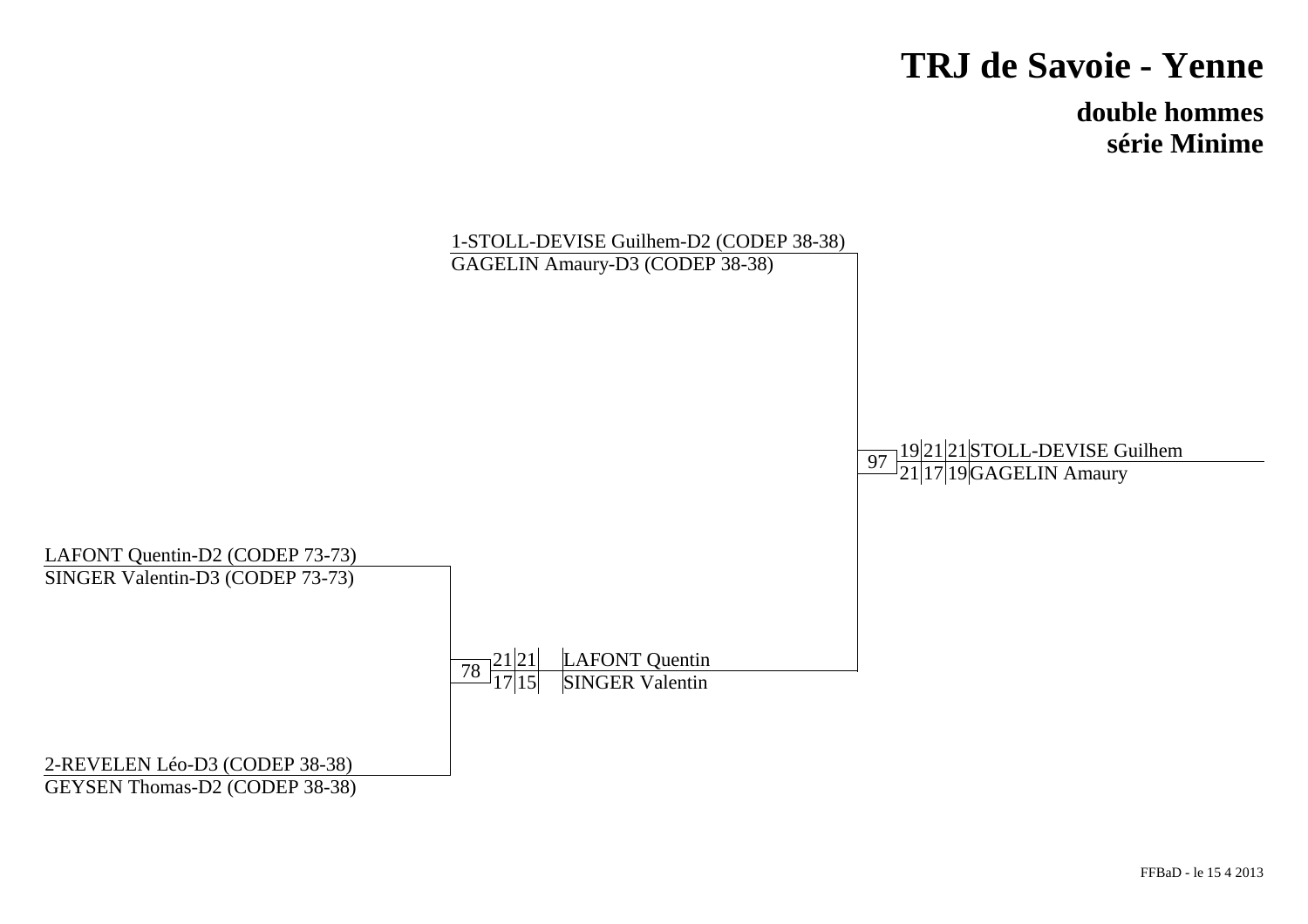**double hommessérie Minime**

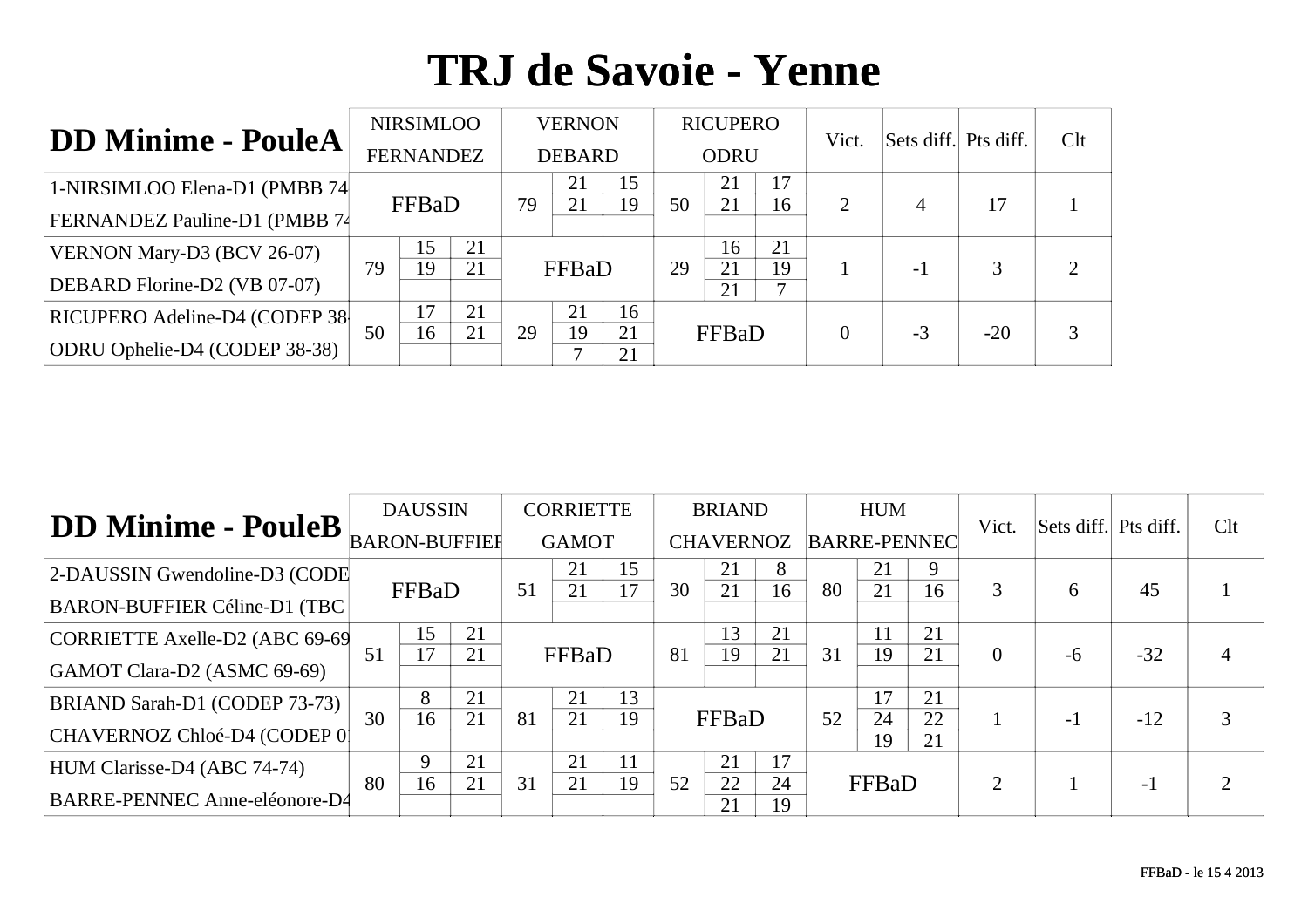| <b>DD Minime - PouleA</b>      |    | <b>NIRSIMLOO</b> |    |    | <b>VERNON</b> |          |    | <b>RICUPERO</b> |         | Vict.    | Sets diff. Pts diff. |       | Clt |
|--------------------------------|----|------------------|----|----|---------------|----------|----|-----------------|---------|----------|----------------------|-------|-----|
|                                |    | <b>FERNANDEZ</b> |    |    | <b>DEBARD</b> |          |    | <b>ODRU</b>     |         |          |                      |       |     |
| 1-NIRSIMLOO Elena-D1 (PMBB 74) |    | FFBaD            |    |    | 21            | 15<br>19 | 50 | 21              | 17      |          |                      | 17    |     |
| FERNANDEZ Pauline-D1 (PMBB 74  |    |                  |    | 79 | 21            |          |    | 21              | 16      | 2        | 4                    |       |     |
| VERNON Mary-D3 (BCV 26-07)     |    | 15               | 21 |    |               |          |    | 16              | 21      |          |                      |       | ∍   |
| DEBARD Florine-D2 (VB 07-07)   | 79 | 19               | 21 |    | FFBaD         |          | 29 | 21<br>21        | 19<br>7 |          | - 1                  |       |     |
| RICUPERO Adeline-D4 (CODEP 38  |    | 17               | 21 |    | 21            | 16       |    |                 |         |          |                      |       |     |
| ODRU Ophelie-D4 (CODEP 38-38)  | 50 | 16               | 21 | 29 | 19            | 21<br>21 |    | FFBaD           |         | $\theta$ | $-3$                 | $-20$ | 3   |

|                                      |    | <b>DAUSSIN</b> |          |    | <b>CORRIETTE</b> |    |    | <b>BRIAND</b>    |          |                     | <b>HUM</b> |          | Vict.          | Sets diff. Pts diff. |       | Clt |
|--------------------------------------|----|----------------|----------|----|------------------|----|----|------------------|----------|---------------------|------------|----------|----------------|----------------------|-------|-----|
| DD Minime - PouleB BARON-BUFFIER     |    |                |          |    | <b>GAMOT</b>     |    |    | <b>CHAVERNOZ</b> |          | <b>BARRE-PENNEC</b> |            |          |                |                      |       |     |
| 2-DAUSSIN Gwendoline-D3 (CODE        |    |                |          |    | 21               | 15 |    | 21               | 8        |                     | 21         | 9        |                |                      |       |     |
| <b>BARON-BUFFIER Céline-D1 (TBC)</b> |    | FFBaD          |          | 51 | 21               | 17 | 30 | 21               | 16       | 80                  | 21         | 16       | 3              | <sub>6</sub>         | 45    |     |
| CORRIETTE Axelle-D2 (ABC 69-69       | 51 | 15<br>17       | 21<br>21 |    | FFBaD            |    | 81 | 13<br>19         | 21<br>21 | 31                  | 19         | 21<br>21 | $\overline{0}$ |                      | $-32$ |     |
| GAMOT Clara-D2 (ASMC 69-69)          |    |                |          |    |                  |    |    |                  |          |                     |            |          |                | -6                   |       | 4   |
| BRIAND Sarah-D1 (CODEP 73-73)        |    | 8              | 21       |    | 21               | 13 |    |                  |          |                     |            | 21       |                |                      |       |     |
| CHAVERNOZ Chloé-D4 (CODEP 0          | 30 | 16             | 21       | 81 | 21               | 19 |    | FFBaD            |          | 52                  | 24<br>19   | 22<br>21 |                | $-1$                 | $-12$ | 3   |
| HUM Clarisse-D4 (ABC 74-74)          |    | 9              | 21       |    | 21               | 11 |    | 21               | 17       |                     |            |          |                |                      |       |     |
| <b>BARRE-PENNEC Anne-eléonore-D4</b> | 80 | 16             | 21       | 31 | 21               | 19 | 52 | 22<br>21         | 24<br>19 |                     | FFBaD      |          | $\overline{2}$ |                      | - 1   | ∍   |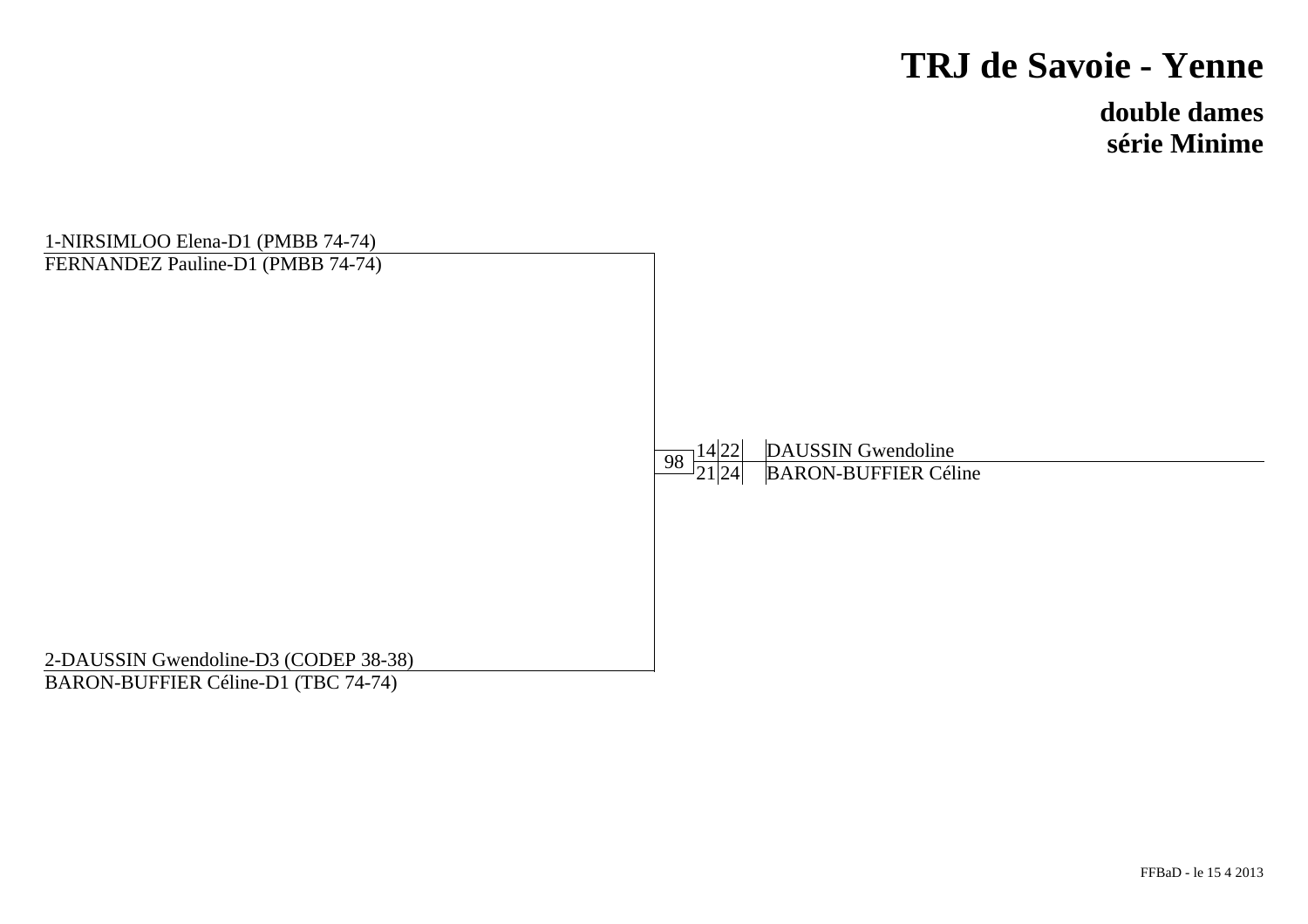**double damessérie Minime**

| 1-NIRSIMLOO Elena-D1 (PMBB 74-74)     |                        |                             |  |
|---------------------------------------|------------------------|-----------------------------|--|
| FERNANDEZ Pauline-D1 (PMBB 74-74)     |                        |                             |  |
|                                       |                        | <b>DAUSSIN</b> Gwendoline   |  |
|                                       | $\frac{14 22 }{21 24}$ | <b>BARON-BUFFIER Céline</b> |  |
|                                       |                        |                             |  |
|                                       |                        |                             |  |
| 2-DAUSSIN Gwendoline-D3 (CODEP 38-38) |                        |                             |  |
| BARON-BUFFIER Céline-D1 (TBC 74-74)   |                        |                             |  |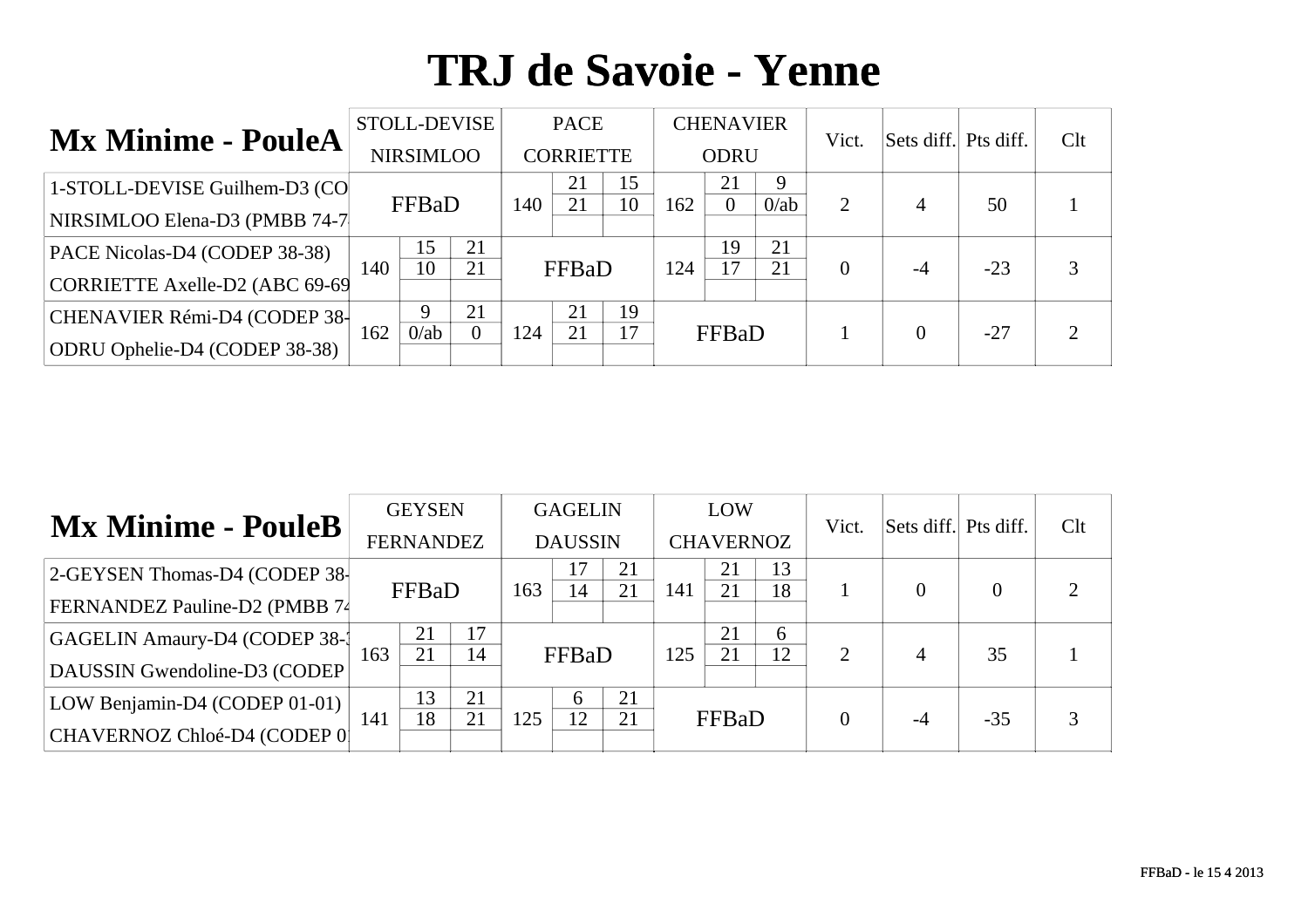| <b>Mx Minime - PouleA</b>      |     | STOLL-DEVISE     |                |     | <b>PACE</b>      |          |     | <b>CHENAVIER</b> |              | Vict.    | Sets diff. Pts diff. |       | Clt |
|--------------------------------|-----|------------------|----------------|-----|------------------|----------|-----|------------------|--------------|----------|----------------------|-------|-----|
|                                |     | <b>NIRSIMLOO</b> |                |     | <b>CORRIETTE</b> |          |     | <b>ODRU</b>      |              |          |                      |       |     |
| 1-STOLL-DEVISE Guilhem-D3 (CO  |     | FFBaD<br>140     |                |     | 21<br>21         | 15<br>10 | 162 | 21<br>$\theta$   | 9<br>$0$ /ab | 2        |                      | 50    |     |
| NIRSIMLOO Elena-D3 (PMBB 74-7  |     |                  |                |     |                  |          |     |                  |              |          | 4                    |       |     |
| PACE Nicolas-D4 (CODEP 38-38)  |     | 15               | 21             |     |                  |          |     | 19               | 21           |          |                      |       |     |
| CORRIETTE Axelle-D2 (ABC 69-69 | 140 | 10               | 21             |     | FFBaD            |          | 124 | 17               | 21           | $\Omega$ | $-4$                 | $-23$ | 3   |
| CHENAVIER Rémi-D4 (CODEP 38-   |     |                  | 21             |     | 21               | 19       |     |                  |              |          |                      |       |     |
| ODRU Ophelie-D4 (CODEP 38-38)  | 162 | $0$ /ab          | $\overline{0}$ | 124 | 21               | 17       |     | FFBaD            |              |          | $\theta$             | $-27$ | ∍   |

|                                      |     | <b>GEYSEN</b>    |    |     | <b>GAGELIN</b> |          |     | LOW              |          | Vict.    | Sets diff. Pts diff. |          | Clt |
|--------------------------------------|-----|------------------|----|-----|----------------|----------|-----|------------------|----------|----------|----------------------|----------|-----|
| <b>Mx Minime - PouleB</b>            |     | <b>FERNANDEZ</b> |    |     | <b>DAUSSIN</b> |          |     | <b>CHAVERNOZ</b> |          |          |                      |          |     |
| 2-GEYSEN Thomas-D4 (CODEP 38-        |     | FFBaD            |    |     |                | 21<br>21 | 141 | 21               | 13<br>18 |          |                      | $\Omega$ |     |
| <b>FERNANDEZ Pauline-D2 (PMBB 74</b> |     |                  |    | 163 | 14             |          |     | 21               |          |          |                      |          |     |
| GAGELIN Amaury-D4 (CODEP 38-1        |     | 21               | 17 |     |                |          |     | 21               | 6        |          |                      |          |     |
| DAUSSIN Gwendoline-D3 (CODEP         | 163 | 21               | 14 |     | FFBaD          |          | 125 | 21               | 12       | 2        | 4                    | 35       |     |
| LOW Benjamin-D4 (CODEP 01-01)        |     | 13               | 21 |     | <sub>6</sub>   | 21       |     |                  |          |          |                      |          |     |
| CHAVERNOZ Chloé-D4 (CODEP 0          | 141 | 18               | 21 | 125 | 12             | 21       |     | FFBaD            |          | $\Omega$ | $-4$                 | $-35$    |     |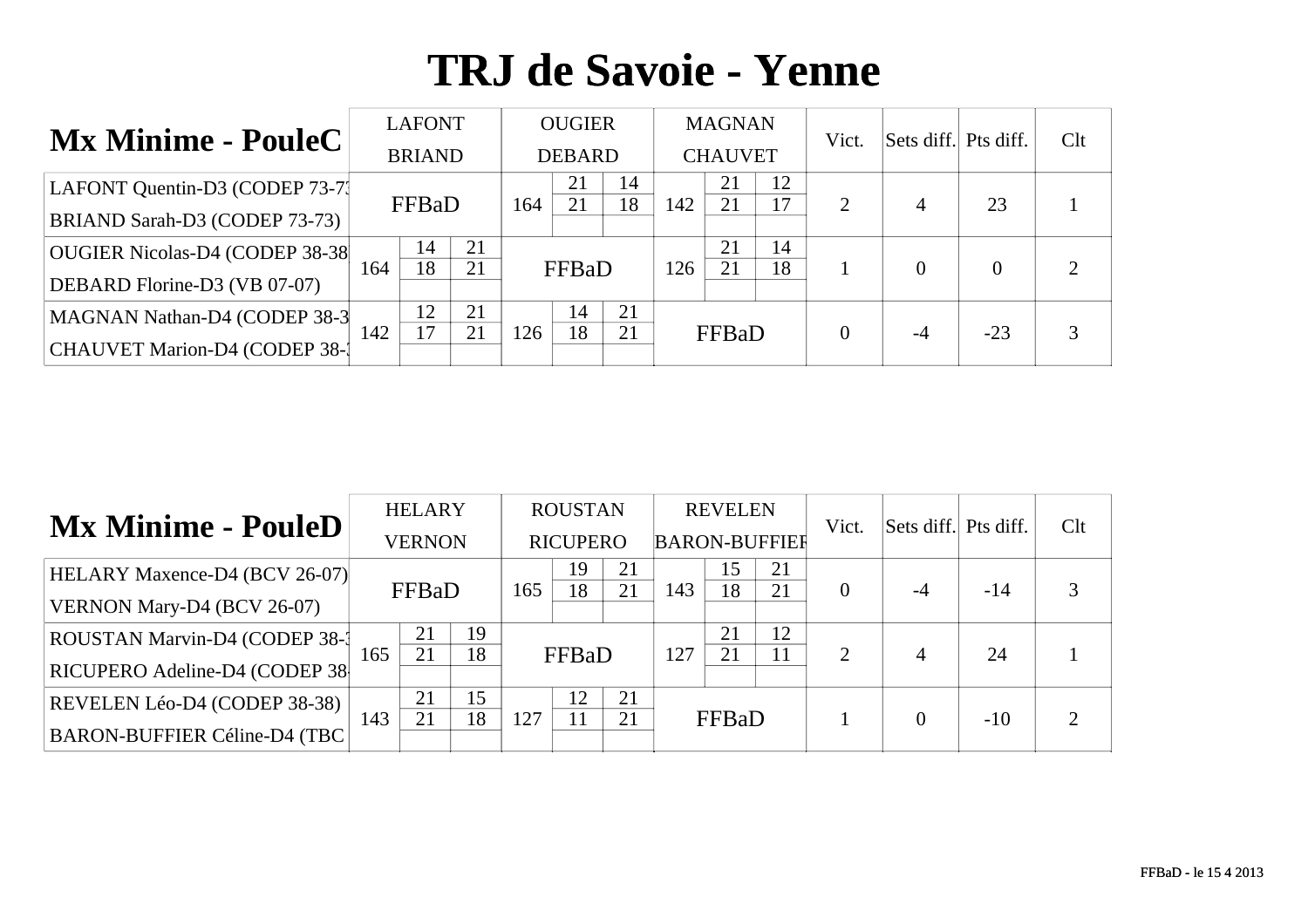| <b>Mx Minime - PouleC</b>       |     | <b>LAFONT</b> |    |     | <b>OUGIER</b> |    |     | <b>MAGNAN</b>  |    | Vict.    | Sets diff. Pts diff. |       | Clt |
|---------------------------------|-----|---------------|----|-----|---------------|----|-----|----------------|----|----------|----------------------|-------|-----|
|                                 |     | <b>BRIAND</b> |    |     | <b>DEBARD</b> |    |     | <b>CHAUVET</b> |    |          |                      |       |     |
| LAFONT Quentin-D3 (CODEP 73-71) |     | FFBaD<br>164  |    |     | 21            | 14 |     | 21             | 12 |          |                      | 23    |     |
| BRIAND Sarah-D3 (CODEP 73-73)   |     |               |    |     | 21            | 18 | 142 | 21             | 17 | 2        | $\overline{4}$       |       |     |
| OUGIER Nicolas-D4 (CODEP 38-38  |     | 14            | 21 |     |               |    |     | 21             | 14 |          |                      |       | ⌒   |
| DEBARD Florine-D3 (VB 07-07)    | 164 | 18            | 21 |     | FFBaD         |    | 126 | 21             | 18 |          | $\theta$             |       |     |
| MAGNAN Nathan-D4 (CODEP 38-3    |     | 12            | 21 |     | 14            | 21 |     |                |    |          |                      |       |     |
| CHAUVET Marion-D4 (CODEP 38-1   | 142 | 17            | 21 | 126 | 18            | 21 |     | FFBaD          |    | $\theta$ | -4                   | $-23$ |     |

| <b>Mx Minime - PouleD</b>            |     | <b>HELARY</b> |    |     | <b>ROUSTAN</b>  |    |                      | <b>REVELEN</b> |          | Vict.    | Sets diff. Pts diff. |       | Clt |
|--------------------------------------|-----|---------------|----|-----|-----------------|----|----------------------|----------------|----------|----------|----------------------|-------|-----|
|                                      |     | <b>VERNON</b> |    |     | <b>RICUPERO</b> |    | <b>BARON-BUFFIER</b> |                |          |          |                      |       |     |
| <b>HELARY Maxence-D4 (BCV 26-07)</b> |     | FFBaD<br>165  |    |     | 19              | 21 | 143                  | 15<br>18       | 21<br>21 | $\theta$ | $-4$                 | $-14$ |     |
| VERNON Mary-D4 (BCV 26-07)           |     |               |    |     | 18              | 21 |                      |                |          |          |                      |       |     |
| ROUSTAN Marvin-D4 (CODEP 38-1        |     | 21            | 19 |     |                 |    |                      | 21             | 12       |          |                      |       |     |
| RICUPERO Adeline-D4 (CODEP 38        | 165 | 21            | 18 |     | FFBaD           |    | 127                  | 21             | 11       | 2        | 4                    | 24    |     |
| REVELEN Léo-D4 (CODEP 38-38)         |     | 21            | 15 |     | 12              | 21 |                      |                |          |          |                      |       |     |
| BARON-BUFFIER Céline-D4 (TBC         | 143 | 21            | 18 | 127 |                 | 21 |                      | FFBaD          |          |          | 0                    | $-10$ |     |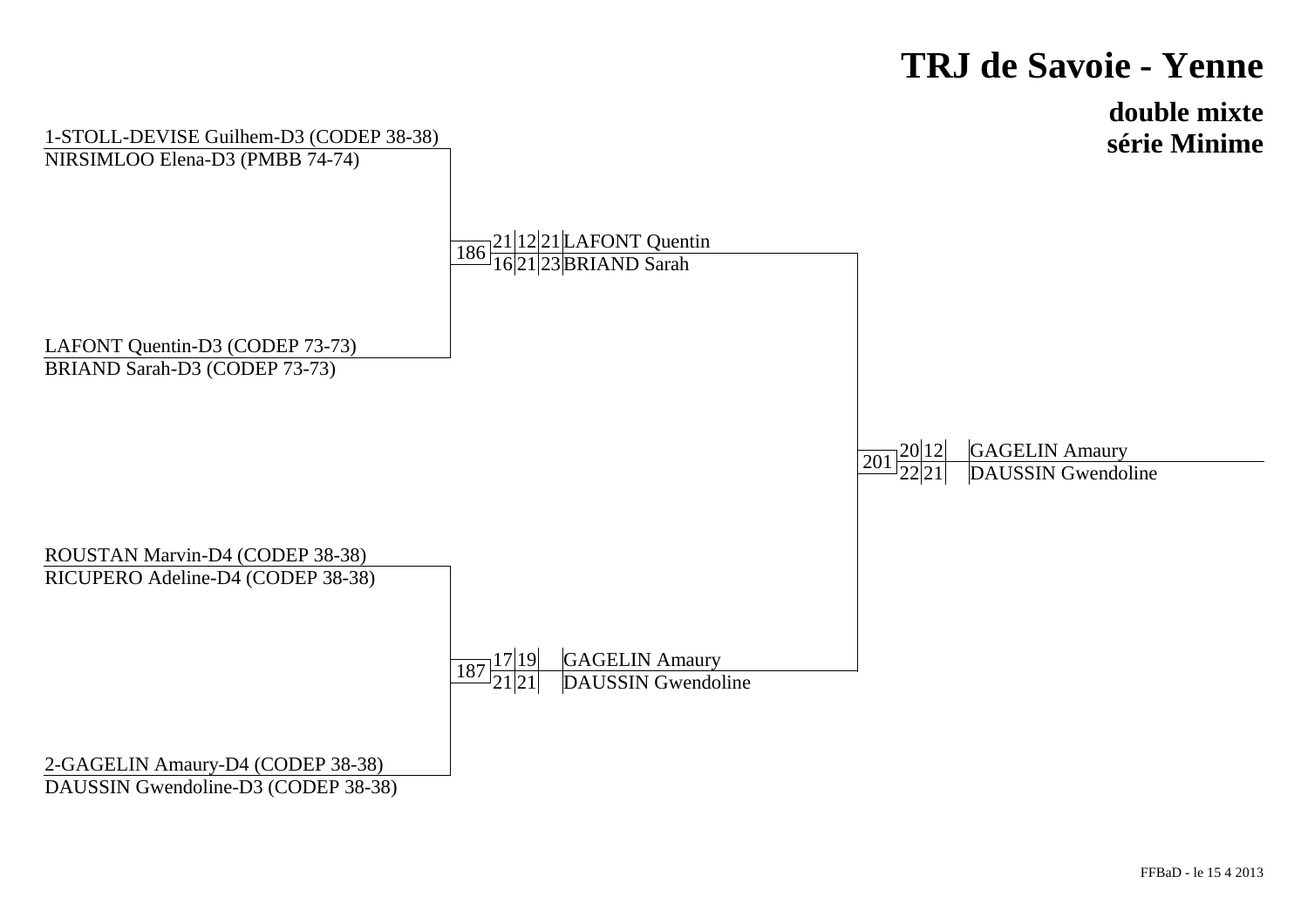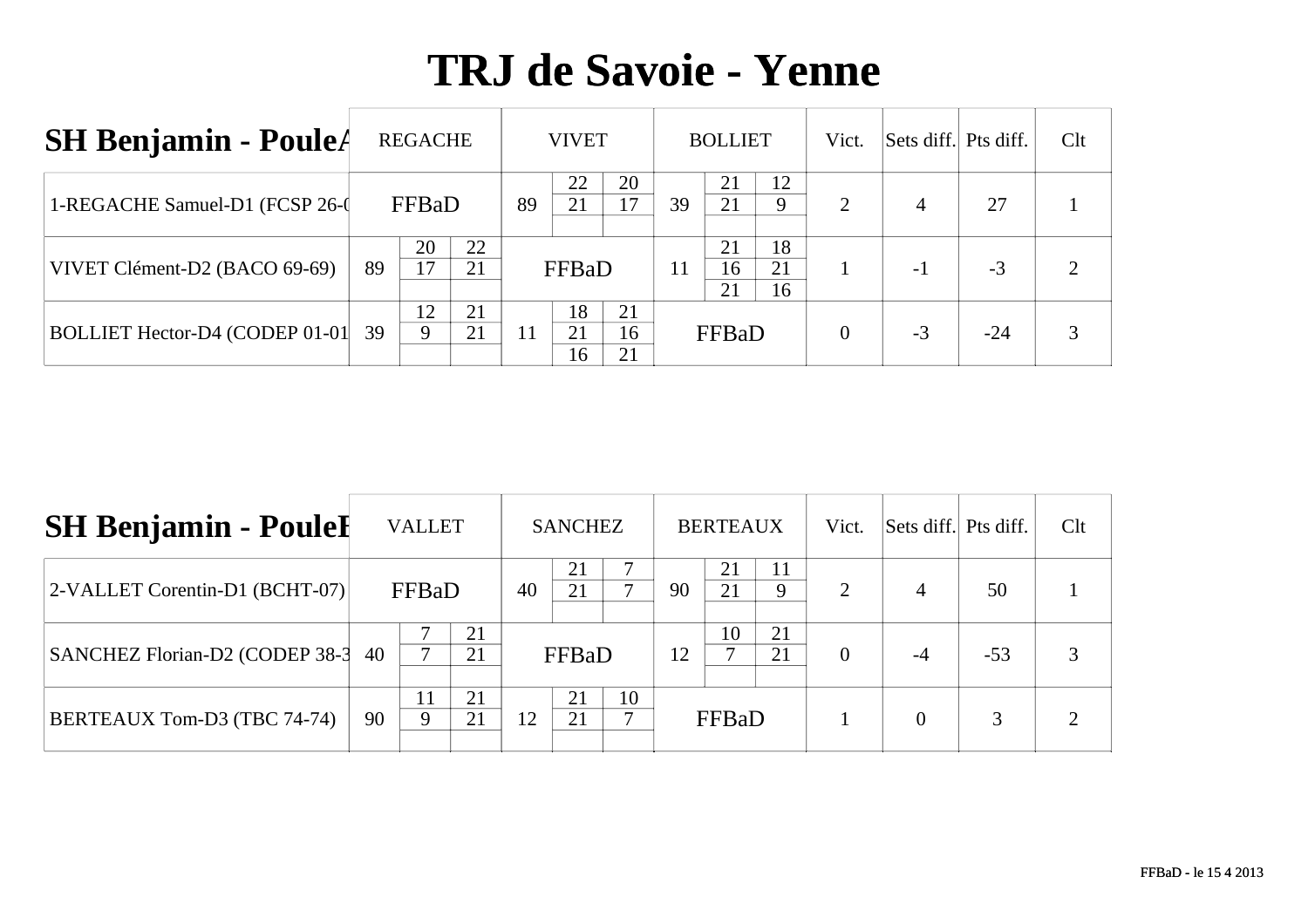| <b>SH Benjamin - PouleA</b>     |    | <b>REGACHE</b> |          |    | <b>VIVET</b>   |                |    | <b>BOLLIET</b> |                | Vict. | Sets diff. Pts diff. |       | Clt |
|---------------------------------|----|----------------|----------|----|----------------|----------------|----|----------------|----------------|-------|----------------------|-------|-----|
| 1-REGACHE Samuel-D1 (FCSP 26-0) |    | FFBaD          |          | 89 | 22<br>21       | 20<br>17       | 39 | 21<br>21       | 12<br>9        | 2     | $\overline{4}$       | 27    |     |
| VIVET Clément-D2 (BACO 69-69)   | 89 | 20<br>17       | 22<br>21 |    | FFBaD          |                | 11 | 21<br>16<br>21 | 18<br>21<br>16 |       | $-1$                 | $-3$  |     |
| BOLLIET Hector-D4 (CODEP 01-01  | 39 | 12<br>9        | 21<br>21 | 11 | 18<br>21<br>16 | 21<br>16<br>21 |    | FFBaD          |                | 0     | $-3$                 | $-24$ |     |

| <b>SH Benjamin - Poulel</b>    |    | <b>VALLET</b> |          |                      | <b>SANCHEZ</b> |  |    | <b>BERTEAUX</b> |          | Vict.    | Sets diff. Pts diff. |       | Clt |
|--------------------------------|----|---------------|----------|----------------------|----------------|--|----|-----------------|----------|----------|----------------------|-------|-----|
| 2-VALLET Corentin-D1 (BCHT-07) |    | FFBaD         |          | 40                   | 21             |  | 90 | 21<br>21        | Q        | 2        | 4                    | 50    |     |
| SANCHEZ Florian-D2 (CODEP 38-3 | 40 |               | 21<br>21 |                      | FFBaD          |  | 12 | 10              | 21<br>21 | $\theta$ | -4                   | $-53$ |     |
| BERTEAUX Tom-D3 (TBC 74-74)    | 90 | 11<br>Q       | 21<br>21 | 21<br>10<br>21<br>12 |                |  |    | FFBaD           |          |          | $\Omega$             | 3     |     |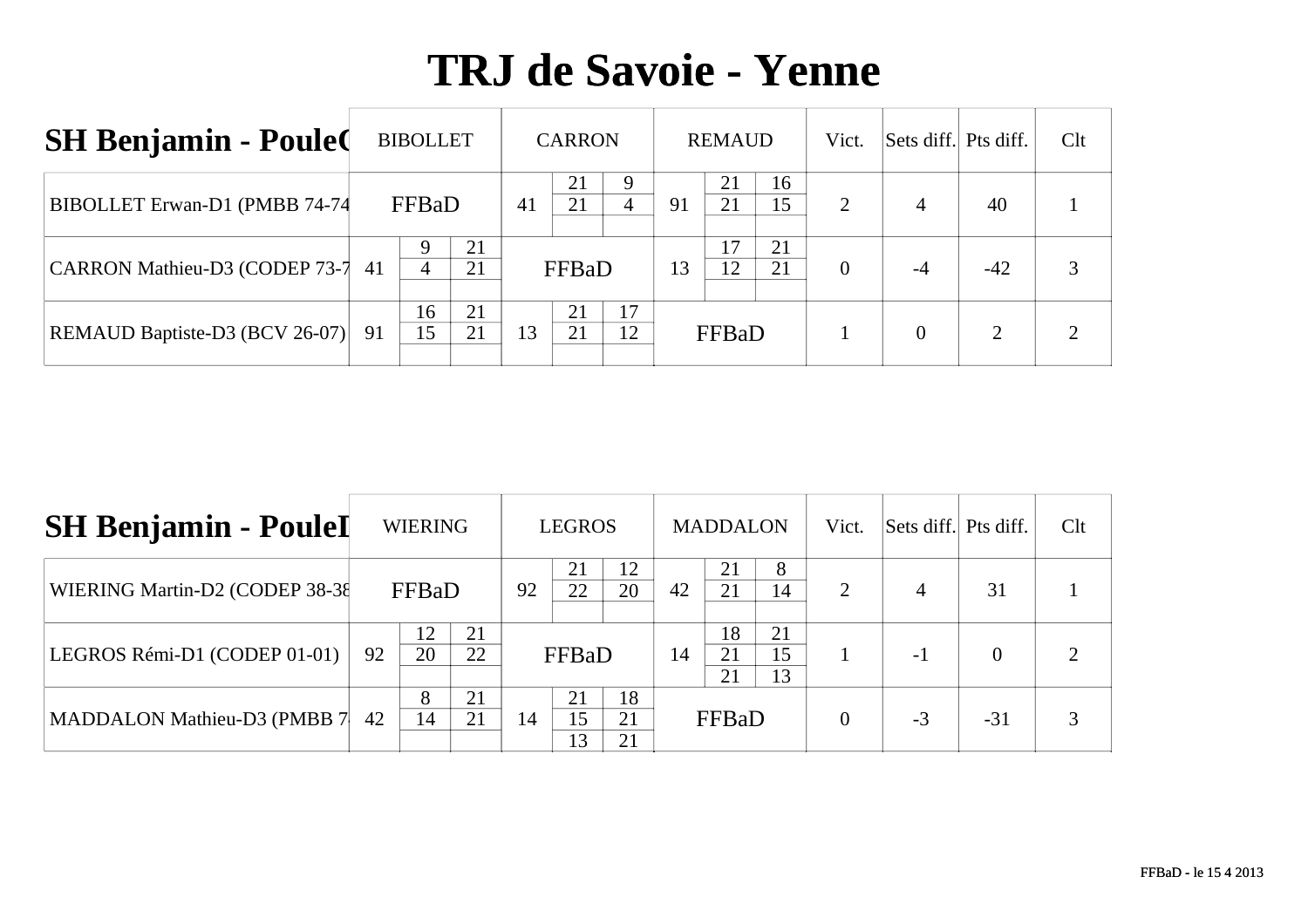| <b>SH Benjamin - Poule(</b>    |    | <b>BIBOLLET</b> |          |    | <b>CARRON</b> |          |    | <b>REMAUD</b> |          | Vict.          | Sets diff. Pts diff. |       | Clt |
|--------------------------------|----|-----------------|----------|----|---------------|----------|----|---------------|----------|----------------|----------------------|-------|-----|
| BIBOLLET Erwan-D1 (PMBB 74-74) |    | FFBaD           |          | 41 | 21<br>21      | 4        | 91 | 21<br>21      | 16<br>15 | 2              | $\overline{4}$       | 40    |     |
| CARRON Mathieu-D3 (CODEP 73-7  | 41 | 4               | 21<br>21 |    | FFBaD         |          | 13 | 17<br>12      | 21<br>21 | $\overline{0}$ | $-4$                 | $-42$ |     |
| REMAUD Baptiste-D3 (BCV 26-07) | 91 | 16<br>15        | 21<br>21 | 13 | 21<br>21      | 17<br>12 |    | FFBaD         |          |                | 0                    |       |     |

| <b>SH Benjamin - PouleI</b>    |    | <b>WIERING</b> |          |    | <b>LEGROS</b>  |                |    | <b>MADDALON</b> |                | Vict.                 | Sets diff. Pts diff. |          | Clt |
|--------------------------------|----|----------------|----------|----|----------------|----------------|----|-----------------|----------------|-----------------------|----------------------|----------|-----|
| WIERING Martin-D2 (CODEP 38-38 |    | FFBaD          |          | 92 | 22             | 12<br>20       | 42 | 21<br>21        | 14             | $\mathcal{D}_{\cdot}$ | 4                    | 31       |     |
| LEGROS Rémi-D1 (CODEP 01-01)   | 92 | 12<br>20       | 21<br>22 |    | FFBaD          |                | 14 | 18<br>21<br>21  | 21<br>15<br>13 |                       | $-1$                 | $\Omega$ |     |
| MADDALON Mathieu-D3 (PMBB 7    | 42 | 8<br>14        | 21<br>21 | 14 | 21<br>15<br>13 | 18<br>21<br>21 |    | FFBaD           |                | $\Omega$              | $-3$                 | $-31$    |     |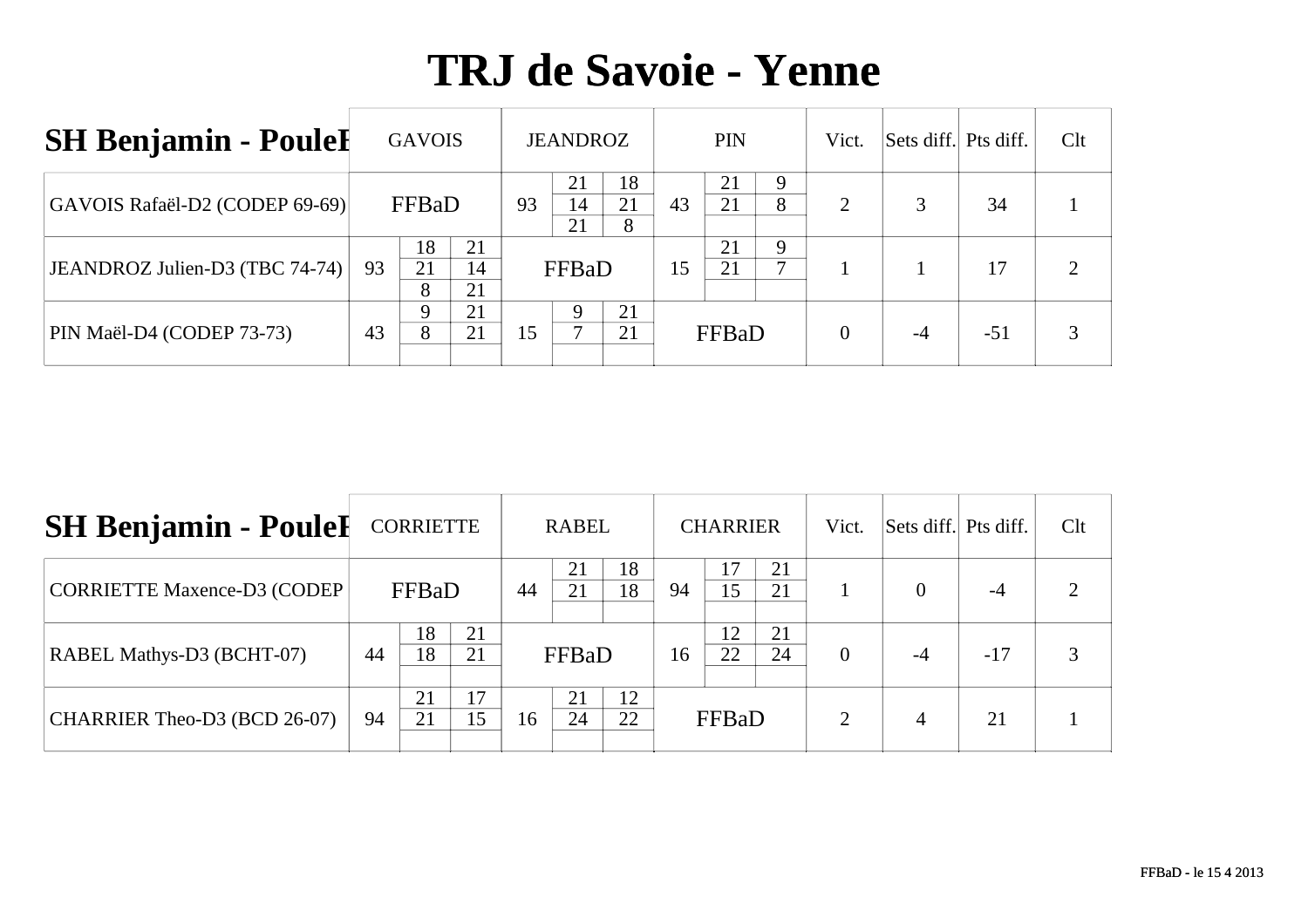| <b>SH Benjamin - Poulel</b>    |    | <b>GAVOIS</b> |                |    | <b>JEANDROZ</b> |               |    | <b>PIN</b> |        | Vict. | Sets diff. Pts diff. |       | Clt |
|--------------------------------|----|---------------|----------------|----|-----------------|---------------|----|------------|--------|-------|----------------------|-------|-----|
| GAVOIS Rafaël-D2 (CODEP 69-69) |    | FFBaD         |                | 93 | 21<br>14<br>21  | 18<br>21<br>8 | 43 | 21<br>21   | 9<br>8 | 2     |                      | 34    |     |
| JEANDROZ Julien-D3 (TBC 74-74) | 93 | 18<br>21<br>8 | 21<br>14<br>21 |    | FFBaD           |               | 15 | 21<br>21   | 9      |       |                      | 17    |     |
| PIN Maël-D4 (CODEP 73-73)      | 43 | 8             | 21<br>21       | 15 |                 | 21<br>21      |    | FFBaD      |        | 0     |                      | $-51$ |     |

| <b>SH Benjamin - PouleI</b>      |    | <b>CORRIETTE</b> |          |                            | <b>RABEL</b> |          |    | <b>CHARRIER</b> |          | Vict.         | Sets diff. Pts diff. |       | Clt |
|----------------------------------|----|------------------|----------|----------------------------|--------------|----------|----|-----------------|----------|---------------|----------------------|-------|-----|
| CORRIETTE Maxence-D3 (CODEP)     |    | FFBaD            |          | 44                         | 21           | 18<br>18 | 94 | 17<br>15        | 21<br>21 |               | $\Omega$             | $-4$  |     |
| <b>RABEL Mathys-D3 (BCHT-07)</b> | 44 | 18<br>18         | 21<br>21 |                            | FFBaD        |          | 16 | 12<br>22        | 21<br>24 | $\theta$      | -4                   | $-17$ | 3   |
| CHARRIER Theo-D3 (BCD 26-07)     | 94 | 21<br>21         | 17<br>15 | 12<br>21<br>22<br>24<br>16 |              |          |    | FFBaD           |          | $\mathcal{D}$ | 4                    | 21    |     |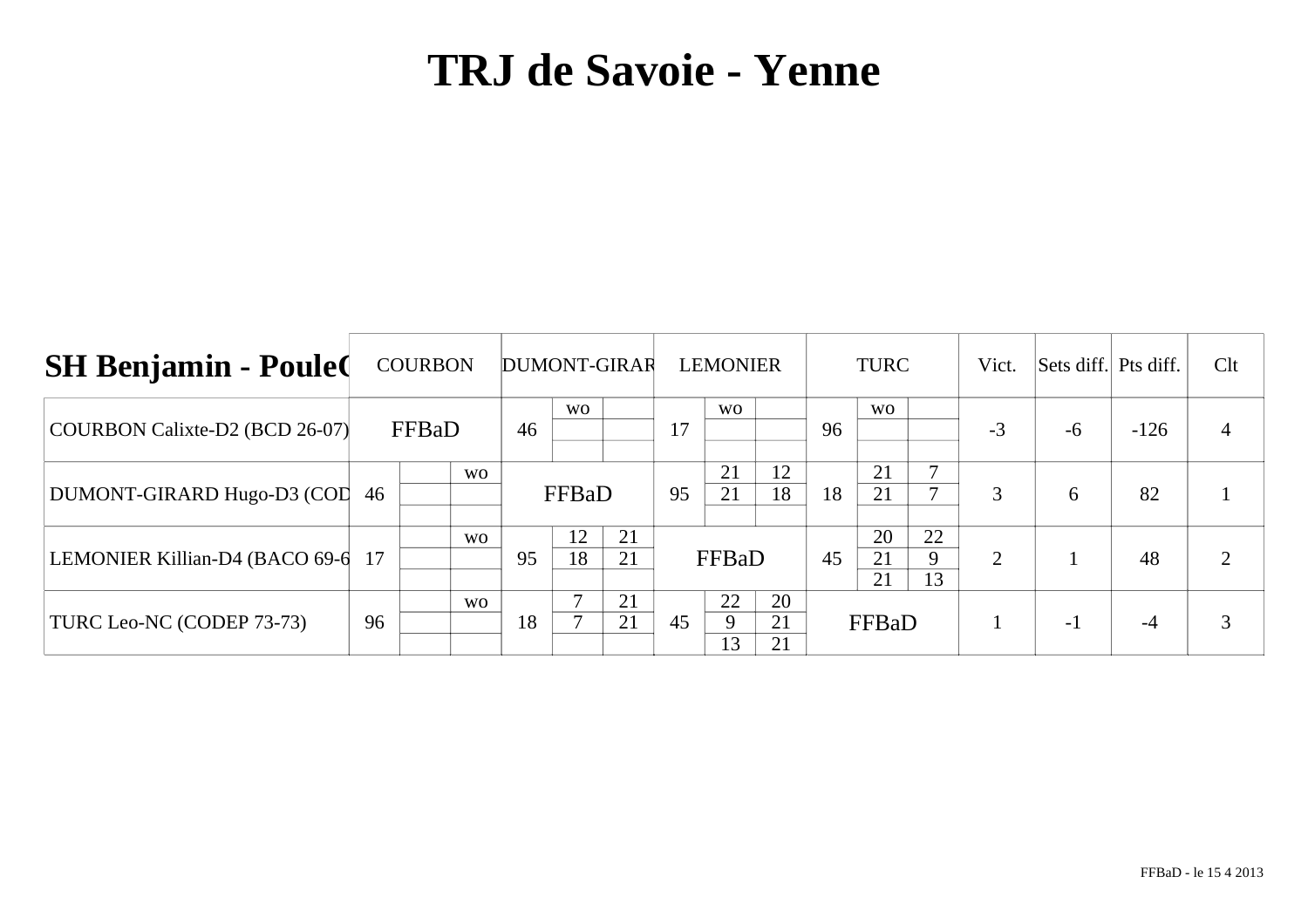| <b>SH Benjamin - Poule</b>      |    | <b>COURBON</b> |                | DUMONT-GIRAR |           |          |    | <b>LEMONIER</b> |                |    | <b>TURC</b>    |               | Vict. | Sets diff. Pts diff. |        | Clt |
|---------------------------------|----|----------------|----------------|--------------|-----------|----------|----|-----------------|----------------|----|----------------|---------------|-------|----------------------|--------|-----|
| COURBON Calixte-D2 (BCD 26-07)  |    | FFBaD          |                | 46           | <b>WO</b> |          | 17 | <b>WO</b>       |                | 96 | <b>WO</b>      |               | $-3$  | $-6$                 | $-126$ | 4   |
| DUMONT-GIRARD Hugo-D3 (COL      | 46 |                | <b>WO</b>      |              | FFBaD     |          | 95 | 21<br>21        | 12<br>18       | 18 | 21<br>21       | ⇁             | 3     | 6                    | 82     |     |
| LEMONIER Killian-D4 (BACO 69-6) | 17 |                | W <sub>O</sub> | 95           | 12<br>18  | 21<br>21 |    | FFBaD           |                | 45 | 20<br>21<br>21 | 22<br>9<br>13 | 2     |                      | 48     |     |
| TURC Leo-NC (CODEP 73-73)       | 96 |                | W <sub>O</sub> | 18           |           | 21<br>21 | 45 | 22<br>9<br>13   | 20<br>21<br>21 |    | FFBaD          |               |       | $-1$                 | -4     |     |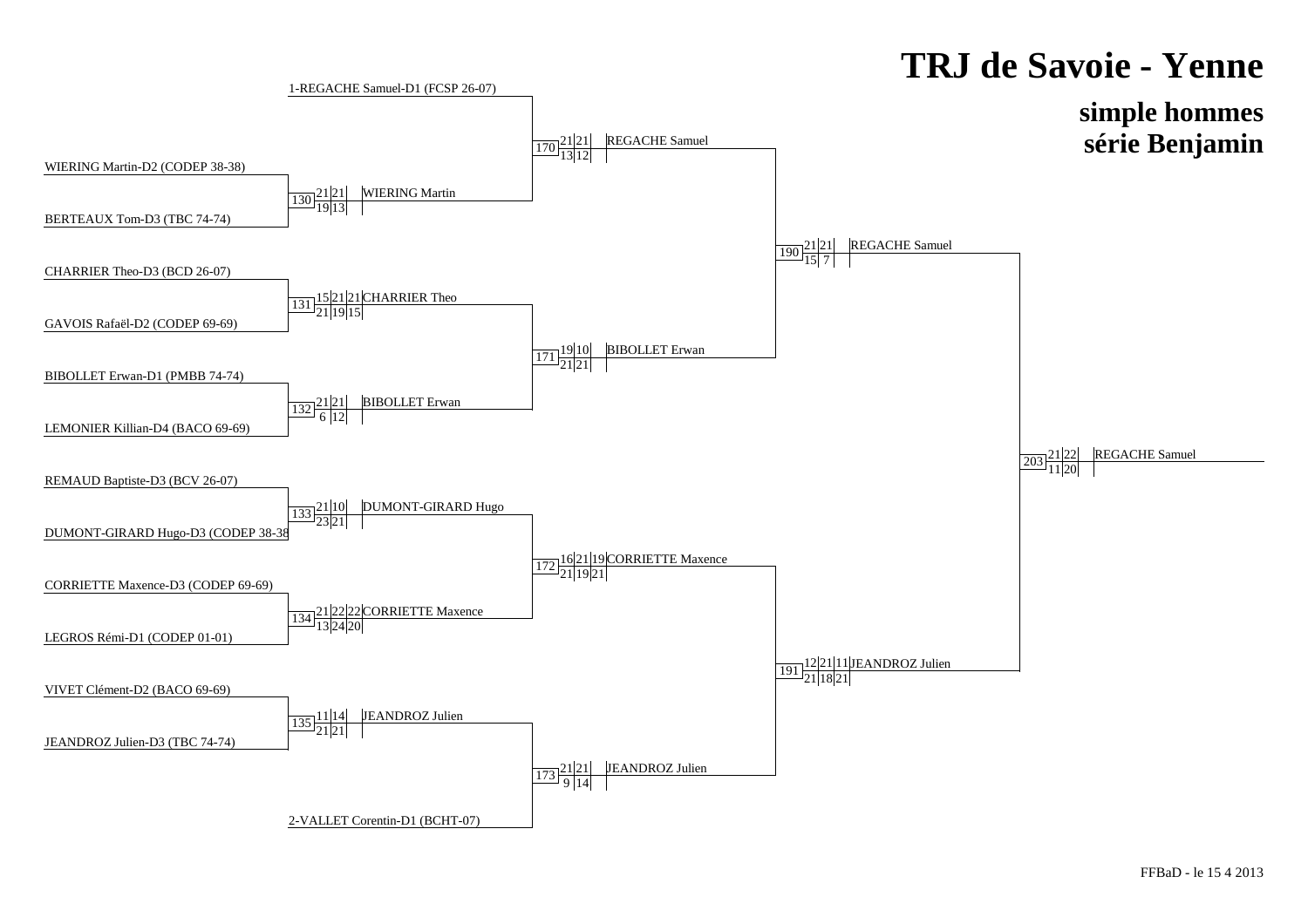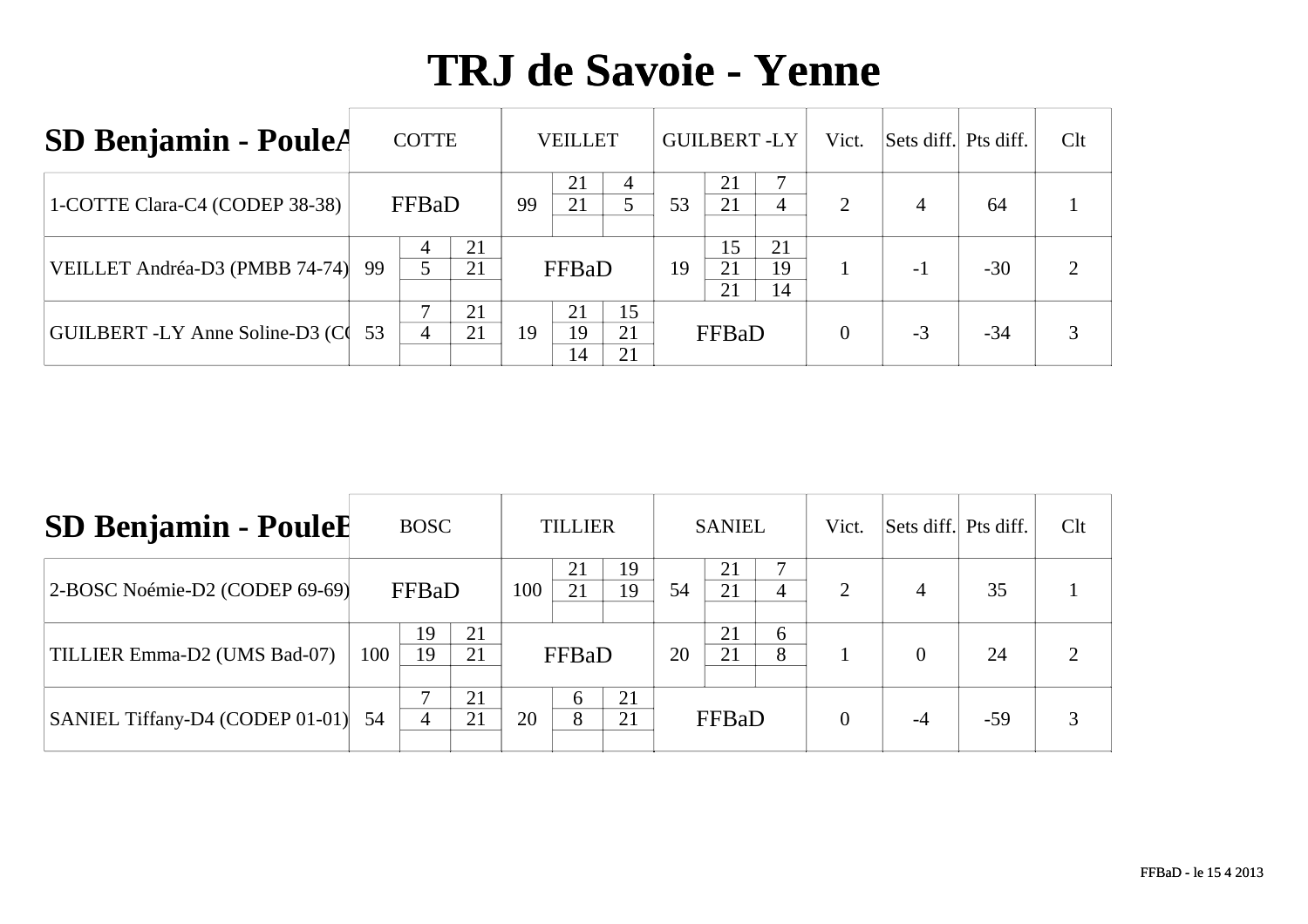| <b>SD Benjamin - PouleA</b>     |    | <b>COTTE</b> |          |    | VEILLET        |                |    |                | <b>GUILBERT-LY</b> | Vict. | Sets diff. Pts diff. |       | Clt |
|---------------------------------|----|--------------|----------|----|----------------|----------------|----|----------------|--------------------|-------|----------------------|-------|-----|
| 1-COTTE Clara-C4 (CODEP 38-38)  |    | FFBaD        |          | 99 | 21<br>21       |                | 53 | 21<br>21       | 4                  | 2     | $\overline{4}$       | -64   |     |
| VEILLET Andréa-D3 (PMBB 74-74)  | 99 |              | 21<br>21 |    | FFBaD          |                | 19 | 15<br>21<br>21 | 21<br>19<br>14     |       | $-1$                 | $-30$ |     |
| GUILBERT -LY Anne Soline-D3 (C) | 53 | 4            | 21<br>21 | 19 | 21<br>19<br>14 | 15<br>21<br>21 |    | FFBaD          |                    | 0     | $-3$                 | $-34$ |     |

| <b>SD Benjamin - PouleE</b>     |     | <b>BOSC</b> |          |     | <b>TILLIER</b> |          |    | <b>SANIEL</b> |        | Vict.    | Sets diff. Pts diff. |       | Clt |
|---------------------------------|-----|-------------|----------|-----|----------------|----------|----|---------------|--------|----------|----------------------|-------|-----|
| 2-BOSC Noémie-D2 (CODEP 69-69)  |     | FFBaD       |          | 100 | 21             | 19<br>19 | 54 | 21<br>21      | 4      | っ        | $\overline{4}$       | 35    |     |
| TILLIER Emma-D2 (UMS Bad-07)    | 100 | 19<br>19    | 21<br>21 |     | FFBaD          |          | 20 | 21<br>21      | 6<br>8 |          |                      | 24    |     |
| SANIEL Tiffany-D4 (CODEP 01-01) | 54  |             | 21<br>21 | 20  | 6<br>8         | 21<br>21 |    | FFBaD         |        | $\Omega$ | $-4$                 | $-59$ |     |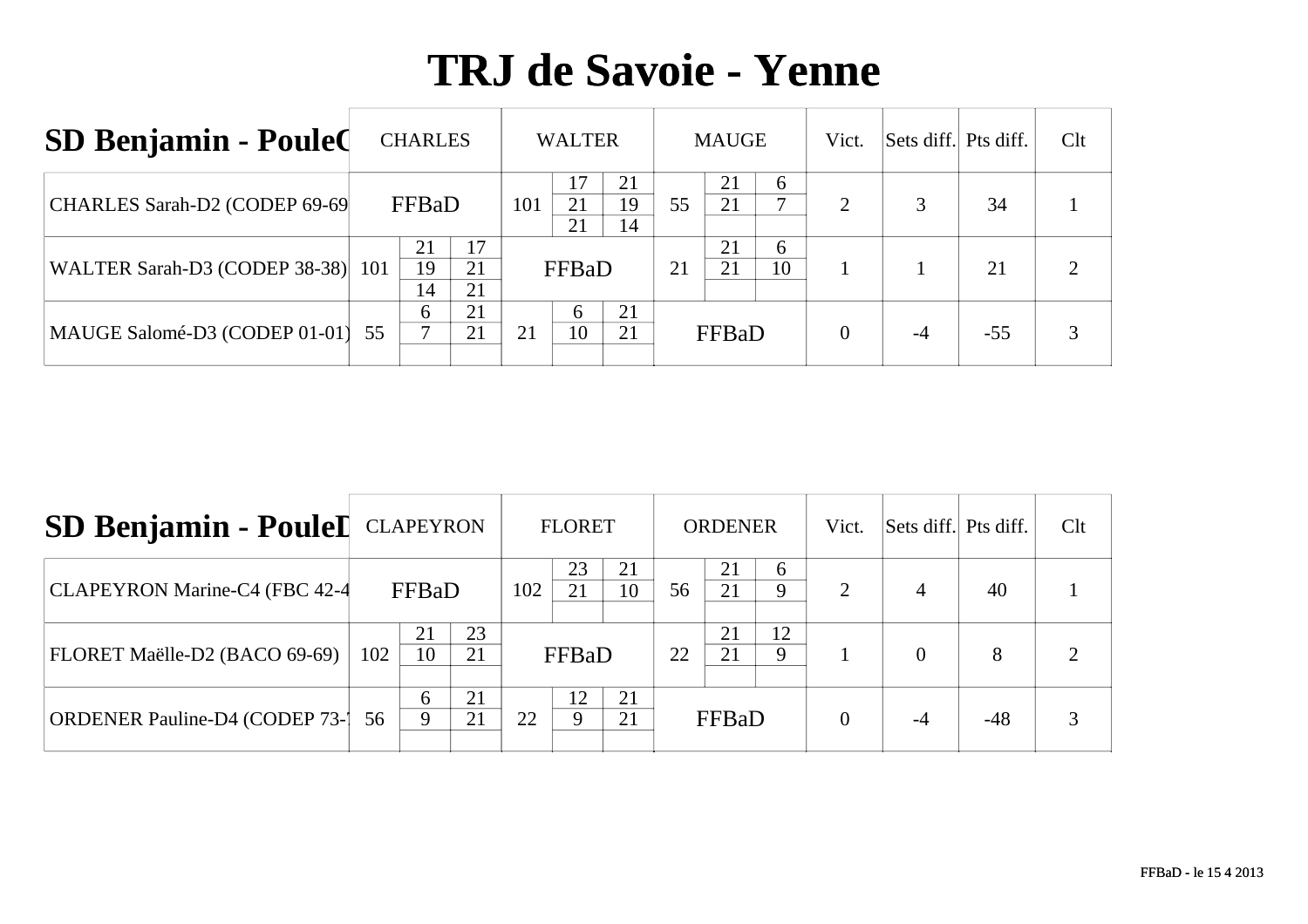| <b>SD Benjamin - Poule(</b>       |                                  | <b>CHARLES</b> |          |     | <b>WALTER</b>  |                |    | <b>MAUGE</b> |         | Vict.          | Sets diff. Pts diff. |       | Clt |
|-----------------------------------|----------------------------------|----------------|----------|-----|----------------|----------------|----|--------------|---------|----------------|----------------------|-------|-----|
| CHARLES Sarah-D2 (CODEP 69-69     |                                  | FFBaD          |          | 101 | 17<br>21<br>21 | 21<br>19<br>14 | 55 | 21<br>21     | 6       | $\overline{2}$ | 3                    | 34    |     |
| WALTER Sarah-D3 (CODEP 38-38) 101 | 17<br>21<br>19<br>21<br>21<br>14 |                |          |     | FFBaD          |                | 21 | 21<br>21     | 6<br>10 |                |                      | 21    |     |
| MAUGE Salomé-D3 (CODEP 01-01)     | 55                               | 6              | 21<br>21 | 21  | h<br>10        | 21<br>21       |    | FFBaD        |         | 0              |                      | $-55$ |     |

| SD Benjamin - PouleI CLAPEYRON         |     |          |          |     | <b>FLORET</b> |          |    | <b>ORDENER</b> |                   | Vict.                       | Sets diff. Pts diff. |       | Clt |
|----------------------------------------|-----|----------|----------|-----|---------------|----------|----|----------------|-------------------|-----------------------------|----------------------|-------|-----|
| CLAPEYRON Marine-C4 (FBC 42-4          |     | FFBaD    |          | 102 | 23<br>21      | 21<br>10 | 56 | 21<br>21       | 6<br>$\mathbf Q$  | $\mathcal{D}_{\mathcal{L}}$ | $\overline{4}$       | 40    |     |
| FLORET Maëlle-D2 (BACO 69-69)          | 102 | 21<br>10 | 23<br>21 |     | FFBaD         |          | 22 | 21<br>21       | 12<br>$\mathbf Q$ |                             | $\Omega$             | 8     |     |
| <b>ORDENER Pauline-D4 (CODEP 73-1)</b> | 56  | 6<br>9   | 21<br>21 | 22  | 12            | 21<br>21 |    | FFBaD          |                   |                             |                      | $-48$ |     |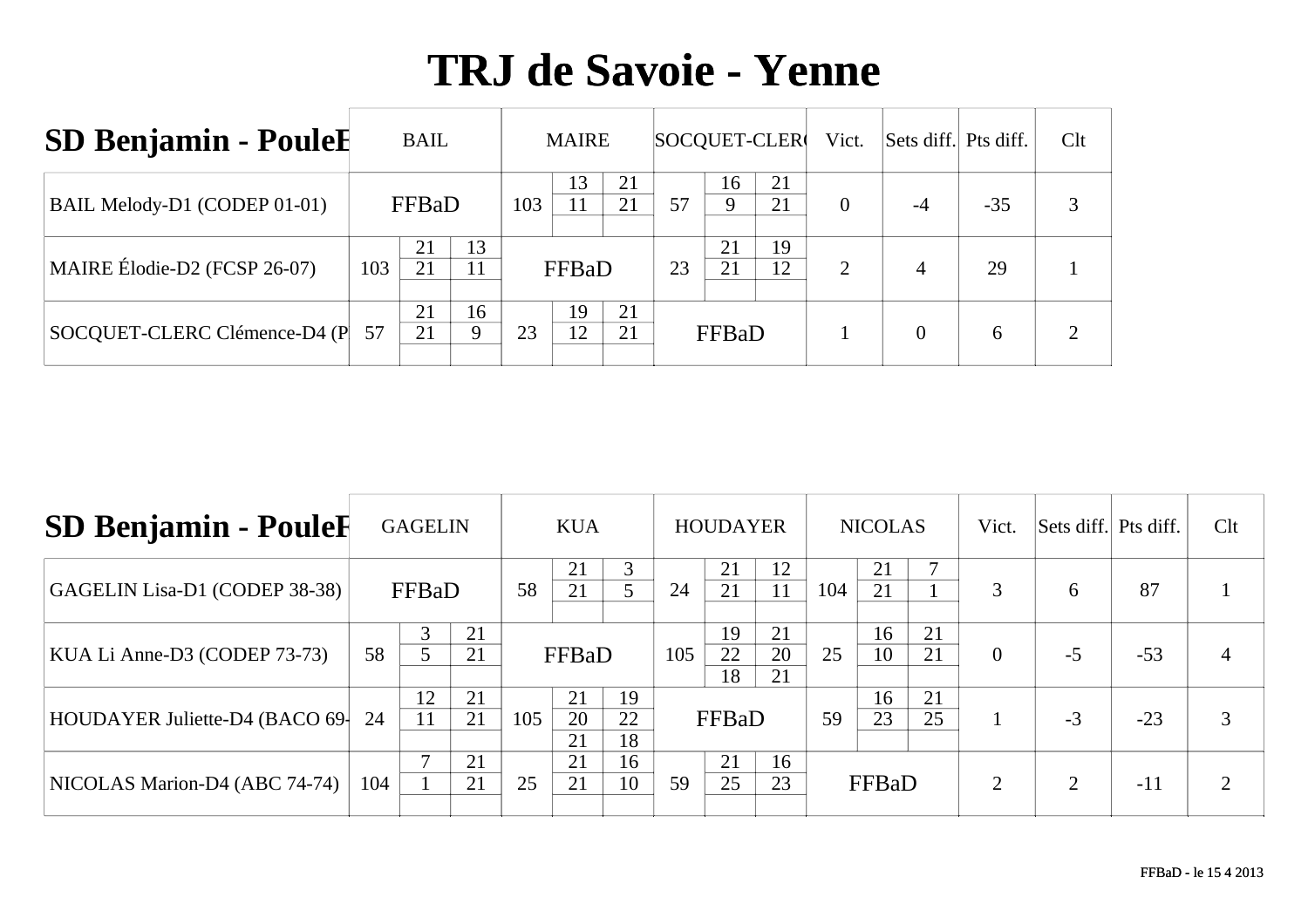| <b>SD Benjamin - PouleE</b>  |     | <b>BAIL</b> |          |     | <b>MAIRE</b> |          |    |          | SOCQUET-CLER | Vict.          | Sets diff. Pts diff. |       | Clt |
|------------------------------|-----|-------------|----------|-----|--------------|----------|----|----------|--------------|----------------|----------------------|-------|-----|
| BAIL Melody-D1 (CODEP 01-01) |     | FFBaD       |          | 103 | 13           | 21<br>21 | 57 | 16<br>9  | 21<br>21     | $\overline{0}$ | -4                   | $-35$ | 3   |
| MAIRE Élodie-D2 (FCSP 26-07) | 103 | 21<br>21    | 13<br>11 |     | FFBaD        |          | 23 | 21<br>21 | 19<br>12     | $\overline{2}$ | 4                    | 29    |     |
| SOCQUET-CLERC Clémence-D4 (P | 57  | 21<br>21    | 16<br>9  | 23  | 19<br>12     | 21<br>21 |    | FFBaD    |              |                | $\Omega$             | 6     | ⌒   |

| <b>SD Benjamin - PouleE</b>    |     | <b>GAGELIN</b> |          |     | <b>KUA</b>     |                |     | <b>HOUDAYER</b> |                |     | <b>NICOLAS</b> |          | Vict.          | Sets diff. Pts diff. |       | Clt       |
|--------------------------------|-----|----------------|----------|-----|----------------|----------------|-----|-----------------|----------------|-----|----------------|----------|----------------|----------------------|-------|-----------|
| GAGELIN Lisa-D1 (CODEP 38-38)  |     | FFBaD          |          | 58  | 21<br>21       | 3              | 24  | 21<br>21        | 12<br>11       | 104 | 21<br>21       |          | 3              | 6                    | 87    |           |
| KUA Li Anne-D3 (CODEP 73-73)   | 58  | 3              | 21<br>21 |     | FFBaD          |                | 105 | 19<br>22<br>18  | 21<br>20<br>21 | 25  | 16<br>10       | 21<br>21 | $\overline{0}$ | $-5$                 | $-53$ |           |
| HOUDAYER Juliette-D4 (BACO 69- | 24  | 12<br>11       | 21<br>21 | 105 | 21<br>20<br>21 | 19<br>22<br>18 |     | FFBaD           |                | 59  | 16<br>23       | 21<br>25 |                | $-3$                 | $-23$ | 3         |
| NICOLAS Marion-D4 (ABC 74-74)  | 104 |                | 21<br>21 | 25  | 21<br>21       | 16<br>10       | 59  | 21<br>25        | 16<br>23       |     | FFBaD          |          | $\overline{2}$ |                      | $-11$ | $\bigcap$ |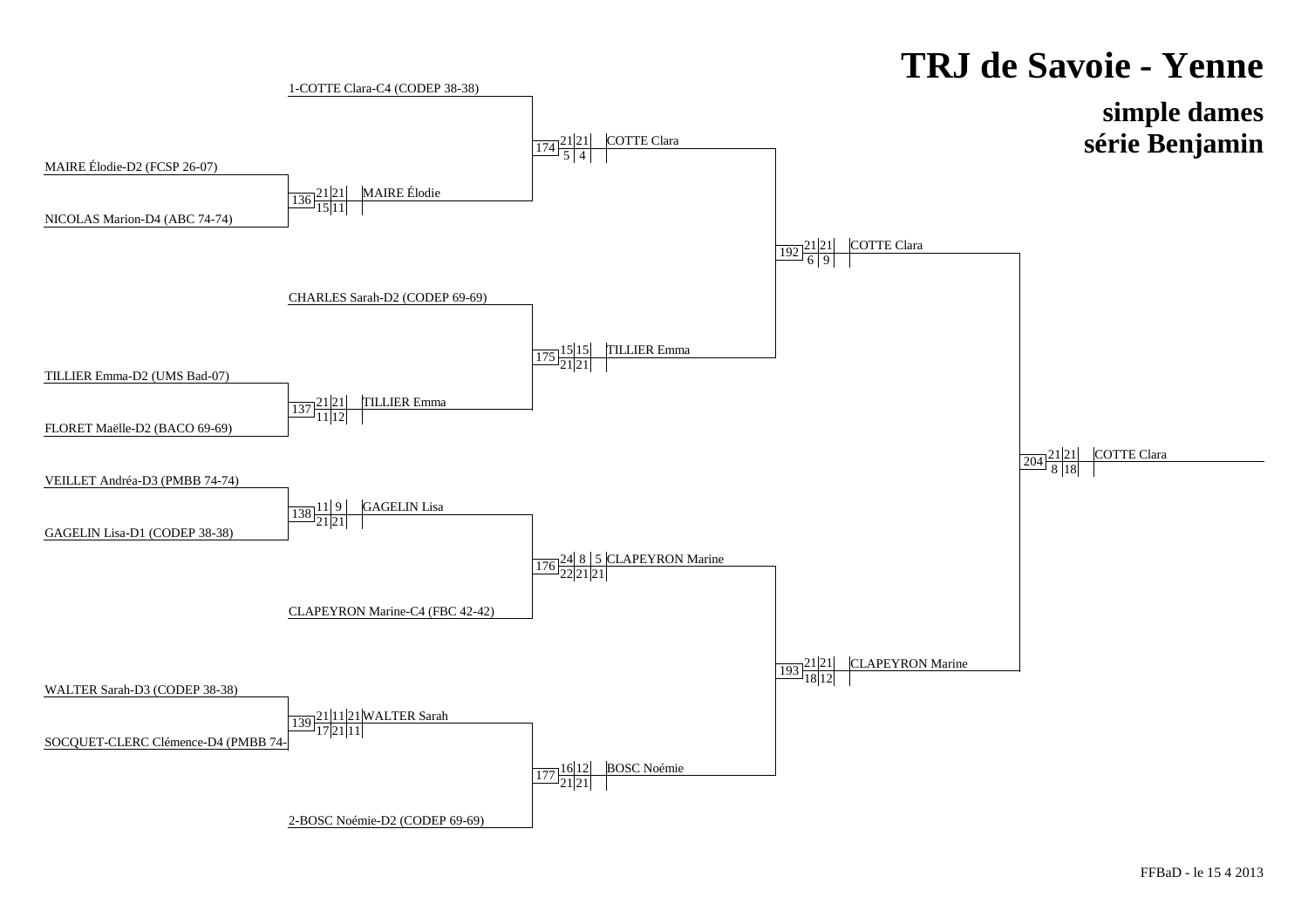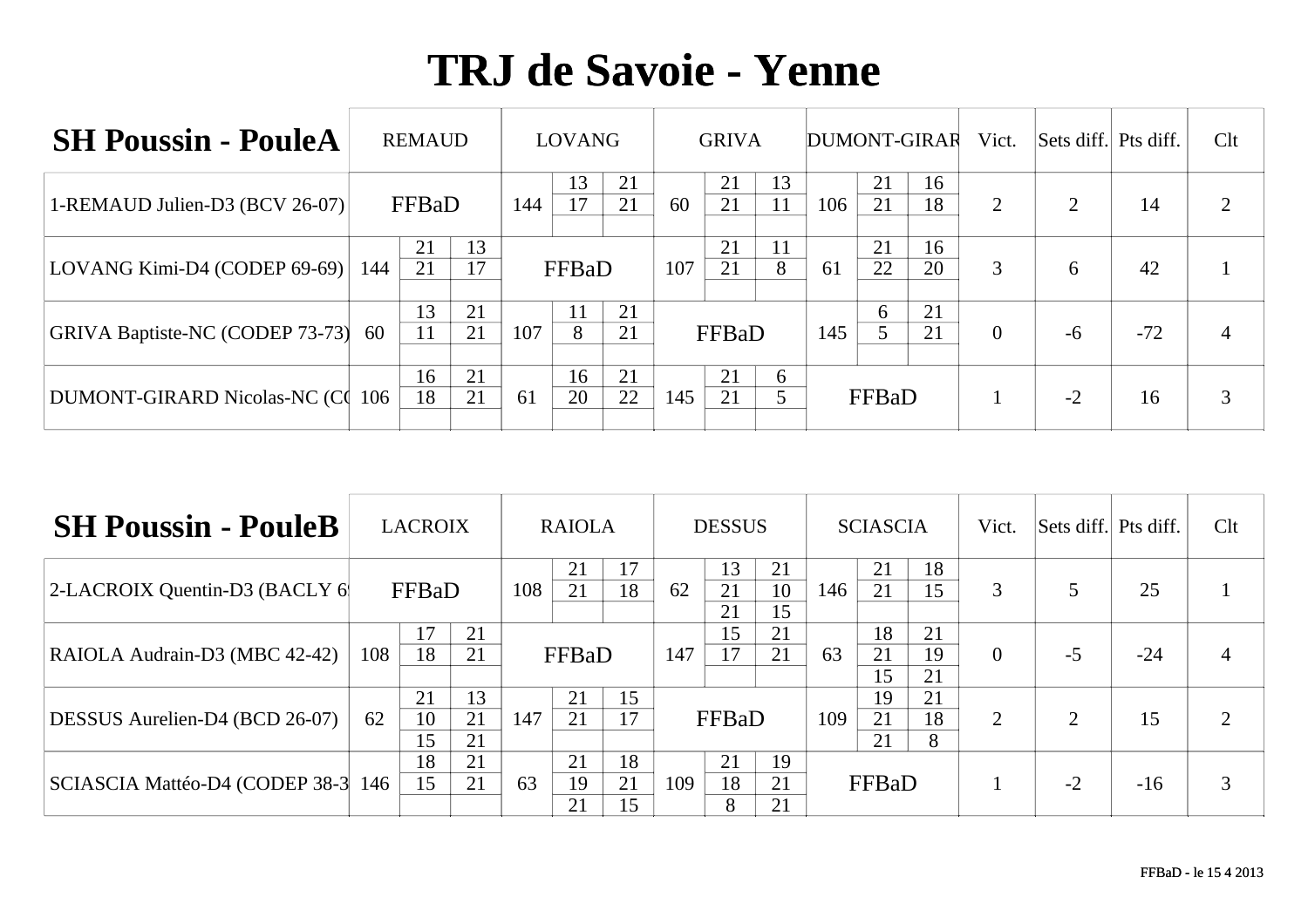| <b>SH Poussin - PouleA</b>             |     | <b>REMAUD</b> |          |                                | <b>LOVANG</b> |          |     | <b>GRIVA</b> |          |     |          | DUMONT-GIRAR | Vict.    | Sets diff. Pts diff. |       | Clt |
|----------------------------------------|-----|---------------|----------|--------------------------------|---------------|----------|-----|--------------|----------|-----|----------|--------------|----------|----------------------|-------|-----|
| 1-REMAUD Julien-D3 (BCV 26-07)         |     | FFBaD         |          | 13<br>21<br>21<br>144<br>FFBaD |               |          | 60  | 21<br>21     | 13<br>11 | 106 | 21<br>21 | 16<br>18     | 2        | $\overline{2}$       | 14    |     |
| LOVANG Kimi-D4 (CODEP 69-69)           | 144 | 21<br>21      | 13<br>17 |                                |               |          | 107 | 21<br>21     | 11<br>8  | 61  | 21<br>22 | 16<br>20     | 3        | 6                    | 42    |     |
| <b>GRIVA Baptiste-NC (CODEP 73-73)</b> | 60  | 13<br>11      | 21<br>21 | 21<br>107<br>21<br>8           |               |          |     | FFBaD        |          | 145 | 6        | 21<br>21     | $\theta$ | $-6$                 | $-72$ | 4   |
| DUMONT-GIRARD Nicolas-NC (C) 106       |     | 16<br>18      | 21<br>21 | 61                             | 16<br>20      | 21<br>22 | 145 | 21<br>21     | 6        |     | FFBaD    |              |          | $-2$                 | 16    | 3   |

| <b>SH Poussin - PouleB</b>     |     | <b>LACROIX</b> |                |                             | <b>RAIOLA</b>  |                |     | <b>DESSUS</b>  |                |     | <b>SCIASCIA</b> |                | Vict.          | Sets diff. Pts diff. |       | Clt      |
|--------------------------------|-----|----------------|----------------|-----------------------------|----------------|----------------|-----|----------------|----------------|-----|-----------------|----------------|----------------|----------------------|-------|----------|
| 2-LACROIX Quentin-D3 (BACLY 6) |     | FFBaD          |                | 108                         | 21<br>21       | 17<br>18       | 62  | 13<br>21<br>21 | 21<br>10<br>15 | 146 | 21<br>21        | 18<br>15       | 3              |                      | 25    |          |
| RAIOLA Audrain-D3 (MBC 42-42)  | 108 | 17<br>18       | 21<br>21       | FFBaD                       |                |                | 147 | 15<br>17       | 21<br>21       | 63  | 18<br>21<br>15  | 21<br>19<br>21 | $\overline{0}$ | $-5$                 | $-24$ |          |
| DESSUS Aurelien-D4 (BCD 26-07) | 62  | 21<br>10<br>15 | 13<br>21<br>21 | 15<br>21<br>21<br>17<br>147 |                |                |     | FFBaD          |                | 109 | 19<br>21<br>21  | 21<br>18<br>8  | 2              | ∍                    | 15    | <u>ာ</u> |
| SCIASCIA Mattéo-D4 (CODEP 38-3 | 146 | 18<br>15       | 21<br>21       | 63                          | 21<br>19<br>21 | 18<br>21<br>15 | 109 | 21<br>18<br>8  | 19<br>21<br>21 |     | FFBaD           |                |                | $-2$                 | $-16$ | 3        |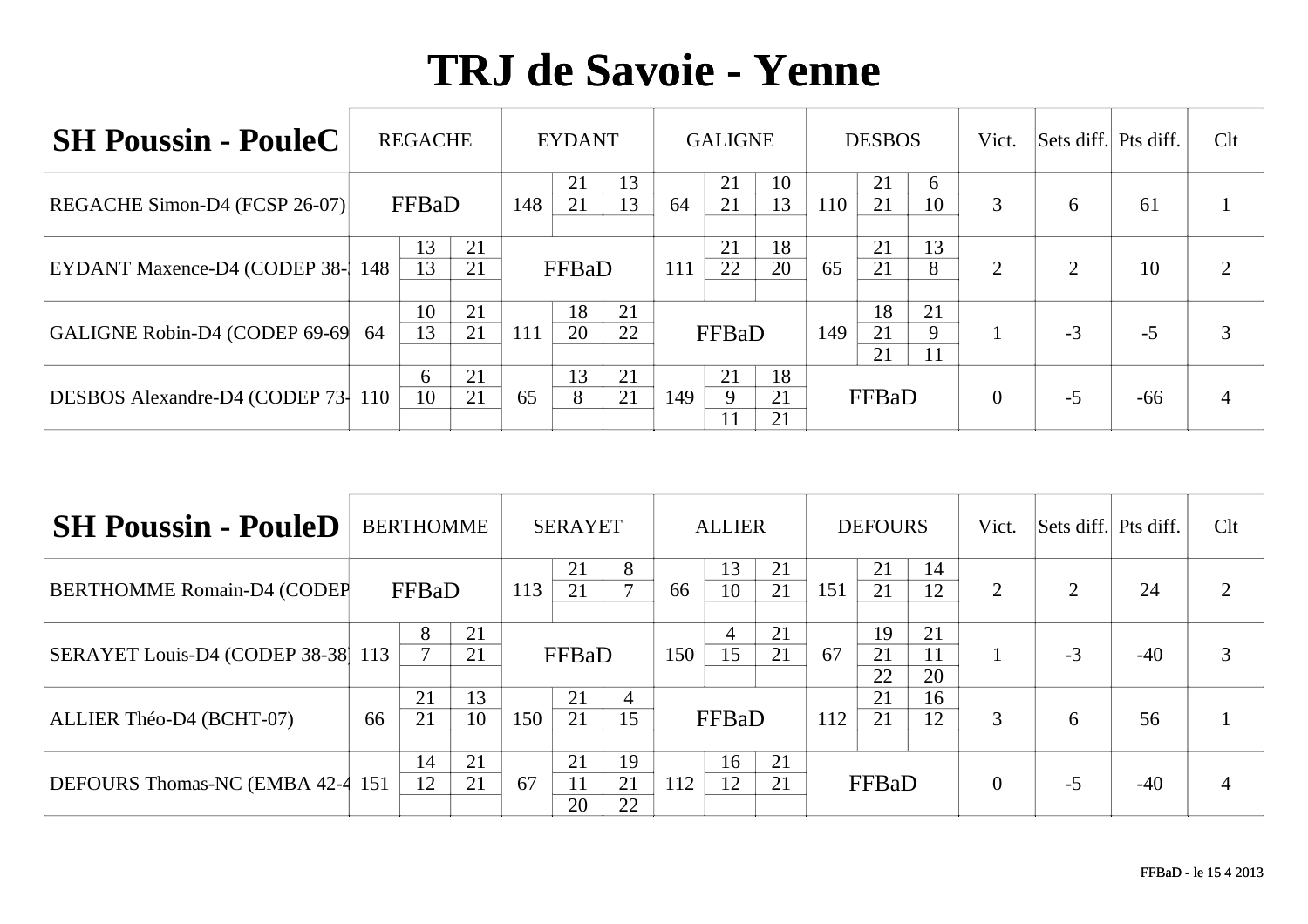| <b>SH Poussin - PouleC</b>            |     | <b>REGACHE</b> |          |                           | <b>EYDANT</b> |          |     | <b>GALIGNE</b> |                |     | <b>DESBOS</b>  |               | Vict.          | Sets diff. Pts diff. |       | Clt            |
|---------------------------------------|-----|----------------|----------|---------------------------|---------------|----------|-----|----------------|----------------|-----|----------------|---------------|----------------|----------------------|-------|----------------|
| REGACHE Simon-D4 (FCSP 26-07)         |     | FFBaD          |          | 148                       | 21<br>21      | 13<br>13 | 64  | 21<br>21       | 10<br>13       | 110 | 21<br>21       | 6<br>10       | 3              | 6                    | 61    |                |
| <b>EYDANT Maxence-D4 (CODEP 38-1)</b> | 148 | 13<br>13       | 21<br>21 |                           | FFBaD         |          | 111 | 21<br>22       | 18<br>20       | 65  | 21<br>21       | 13<br>8       | 2              | $\overline{2}$       | 10    | $\overline{2}$ |
| GALIGNE Robin-D4 (CODEP 69-69         | 64  | 10<br>13       | 21<br>21 | 111                       | 18<br>20      | 21<br>22 |     | FFBaD          |                | 149 | 18<br>21<br>21 | 21<br>9<br>11 |                | $-3$                 | $-5$  | 3              |
| DESBOS Alexandre-D4 (CODEP 73-        | 110 | 6<br>10        | 21<br>21 | 13<br>21<br>21<br>8<br>65 |               |          | 149 | 21<br>9<br>11  | 18<br>21<br>21 |     | FFBaD          |               | $\overline{0}$ | $-5$                 | $-66$ |                |

| <b>SH Poussin - PouleD</b>         |     | <b>BERTHOMME</b> |          |     | <b>SERAYET</b> |                |     | <b>ALLIER</b>        |          |     | <b>DEFOURS</b> |                | Vict.          | Sets diff. Pts diff. |       | Clt |
|------------------------------------|-----|------------------|----------|-----|----------------|----------------|-----|----------------------|----------|-----|----------------|----------------|----------------|----------------------|-------|-----|
| <b>BERTHOMME Romain-D4 (CODEF)</b> |     | FFBaD            |          | 113 | 21<br>21       | 8              | 66  | 13<br>10             | 21<br>21 | 151 | 21<br>21       | 14<br>12       | 2              | $\overline{2}$       | 24    | 2   |
| SERAYET Louis-D4 (CODEP 38-38 113  |     | 8                | 21<br>21 |     | FFBaD          |                | 150 | $\overline{4}$<br>15 | 21<br>21 | 67  | 19<br>21<br>22 | 21<br>11<br>20 |                | $-3$                 | $-40$ | 3   |
| ALLIER Théo-D4 (BCHT-07)           | 66  | 21<br>21         | 13<br>10 | 150 | 21<br>21       | 4<br>15        |     | FFBaD                |          | 112 | 21<br>21       | 16<br>12       | 3              | 6                    | 56    |     |
| DEFOURS Thomas-NC (EMBA 42-4)      | 151 | 14<br>12         | 21<br>21 | 67  | 21<br>11<br>20 | 19<br>21<br>22 | 112 | 16<br>12             | 21<br>21 |     | FFBaD          |                | $\overline{0}$ | $-5$                 | $-40$ |     |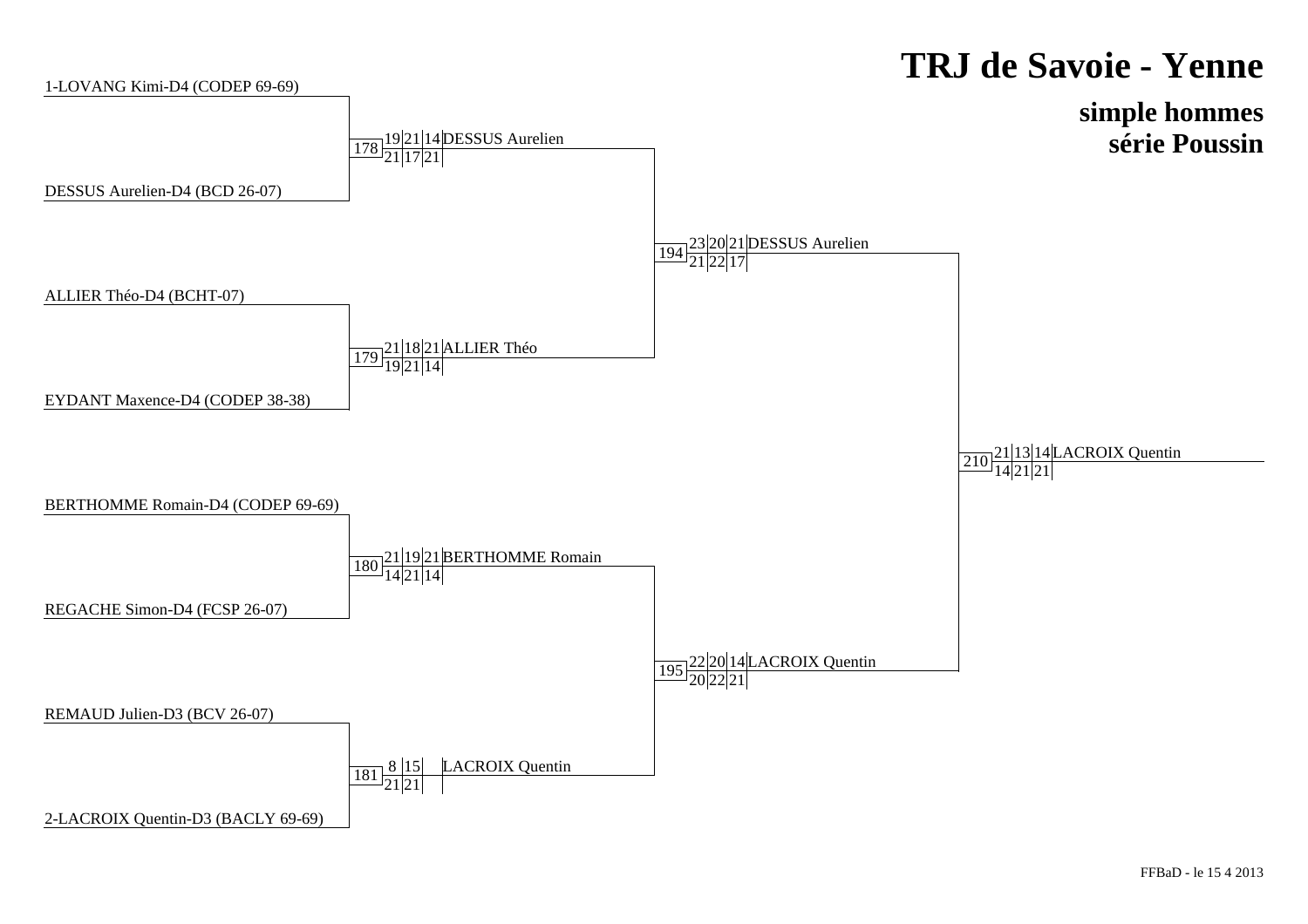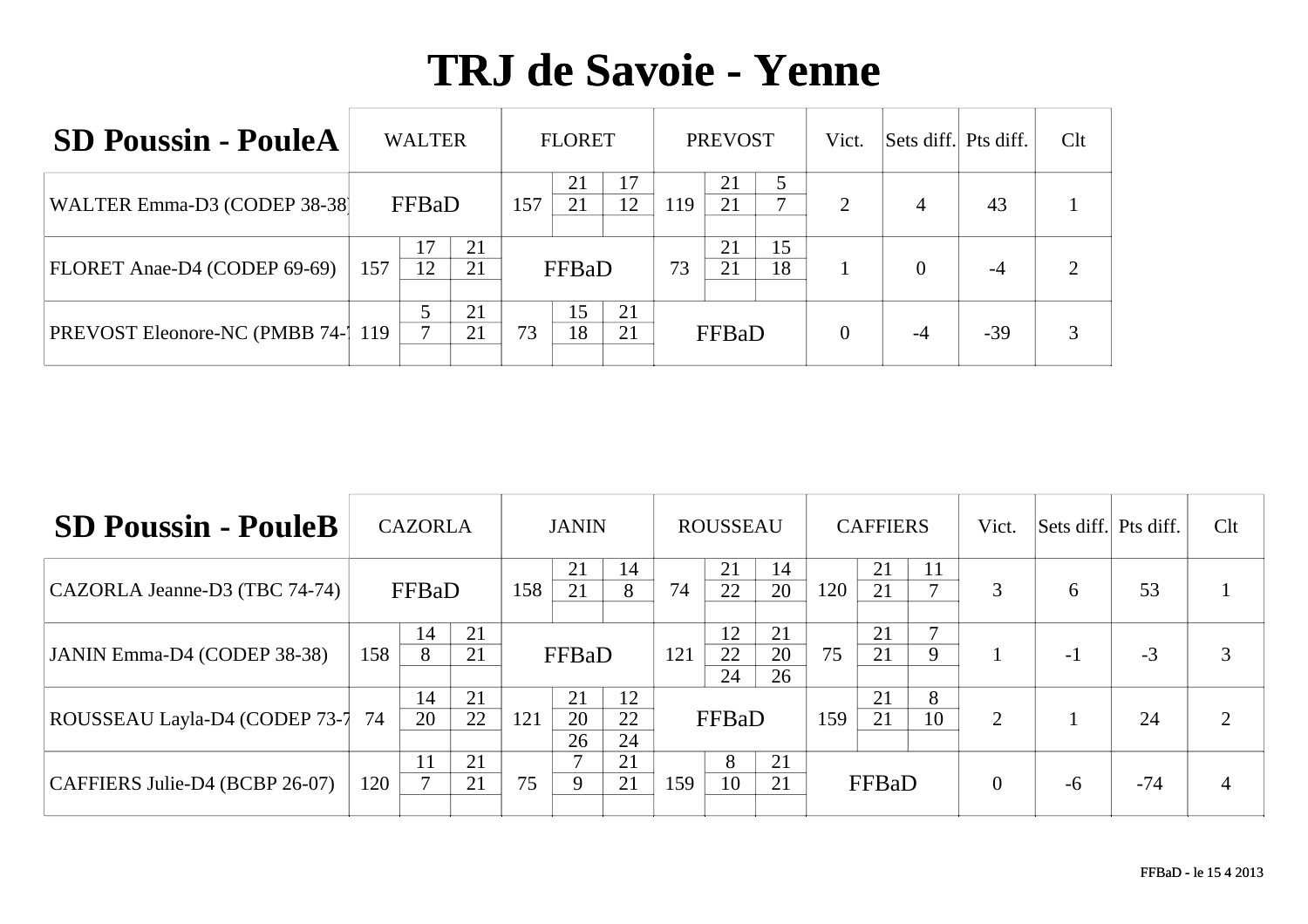| <b>SD Poussin - PouleA</b>                 | <b>WALTER</b> |          |     | <b>FLORET</b> |          |     | <b>PREVOST</b> |              | Vict.          | Sets diff. Pts diff. |       | Clt |
|--------------------------------------------|---------------|----------|-----|---------------|----------|-----|----------------|--------------|----------------|----------------------|-------|-----|
| WALTER Emma-D3 (CODEP 38-38)               | FFBaD         |          | 157 | 21<br>21      | 12       | 119 | 21<br>21       | $\mathbf{r}$ | $\overline{2}$ | $\overline{4}$       | 43    |     |
| FLORET Anae-D4 (CODEP 69-69)               | 157<br>12     | 21<br>21 |     | FFBaD         |          | 73  | 21<br>21       | 15<br>18     |                | $\Omega$             | $-4$  | റ   |
| <b>PREVOST Eleonore-NC (PMBB 74-1 119)</b> |               | 21<br>21 | 73  | 15<br>18      | 21<br>21 |     | FFBaD          |              | $\Omega$       | $-4$                 | $-39$ | 3   |

| <b>SD Poussin - PouleB</b>     | <b>CAZORLA</b> |          |          | <b>JANIN</b> |                |                | <b>ROUSSEAU</b>            |                |                | <b>CAFFIERS</b> |          |                     | Vict. | Sets diff. Pts diff. |                | Clt            |
|--------------------------------|----------------|----------|----------|--------------|----------------|----------------|----------------------------|----------------|----------------|-----------------|----------|---------------------|-------|----------------------|----------------|----------------|
| CAZORLA Jeanne-D3 (TBC 74-74)  | FFBaD          |          |          | 158          | 21<br>21       | 14<br>8        | 74                         | 21<br>22       | 14<br>20       | 120             | 21<br>21 | 11<br>$\mathcal{L}$ | 3     | 6                    | 53             |                |
| JANIN Emma-D4 (CODEP 38-38)    | 158            | 14<br>8  | 21<br>21 |              | FFBaD          |                | 121                        | 12<br>22<br>24 | 21<br>20<br>26 | 75              | 21<br>21 | $\mathbf{r}$<br>9   | 1     | $-1$                 | $-3$           | 3              |
| ROUSSEAU Layla-D4 (CODEP 73-7  | 74             | 14<br>20 | 21<br>22 | 121          | 21<br>20<br>26 | 12<br>22<br>24 | FFBaD                      |                |                | 159             | 21<br>21 | 8<br>10             | 2     |                      | 24             | $\overline{2}$ |
| CAFFIERS Julie-D4 (BCBP 26-07) | 120            | ┍        | 21<br>21 | 75           | 9              | 21<br>21       | 8<br>21<br>10<br>21<br>159 |                | FFBaD          |                 |          | $\theta$            | -6    | $-74$                | $\overline{4}$ |                |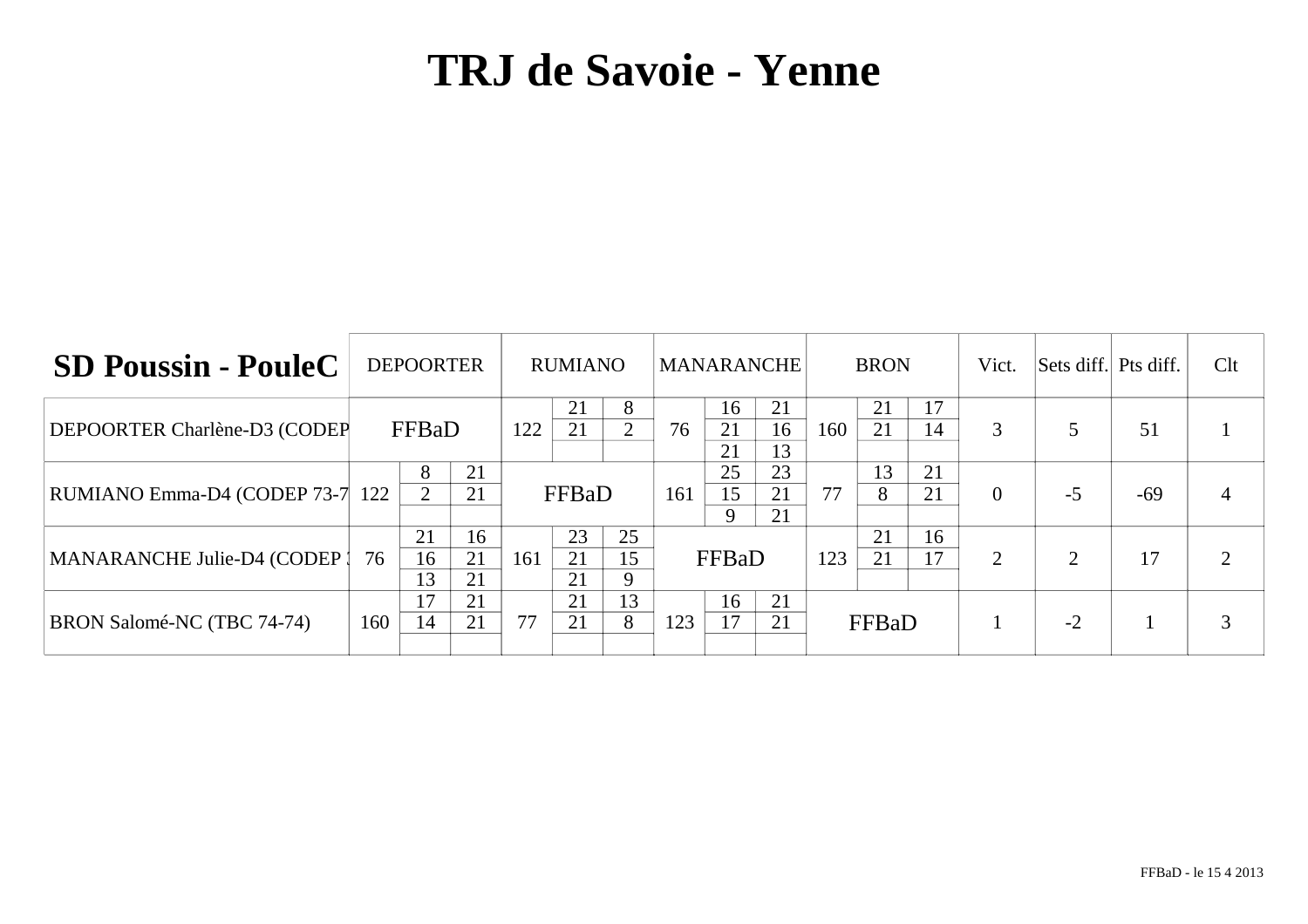| <b>SD Poussin - PouleC</b>   | <b>DEPOORTER</b> |                |                | <b>RUMIANO</b> |                |          | MANARANCHE                  |                |                | <b>BRON</b> |          |          | Vict.    | Sets diff. Pts diff. |       | Clt |
|------------------------------|------------------|----------------|----------------|----------------|----------------|----------|-----------------------------|----------------|----------------|-------------|----------|----------|----------|----------------------|-------|-----|
| DEPOORTER Charlène-D3 (CODEP | FFBaD            |                |                | 122            | 21<br>21       | 8        | 76                          | 16<br>21<br>21 | 21<br>16<br>13 | 160         | 21<br>21 | 17<br>14 | 3        |                      | 51    |     |
| RUMIANO Emma-D4 (CODEP 73-7  | 122              | 8<br>2         | 21<br>21       |                | FFBaD          |          | 161                         | 25<br>15<br>9  | 23<br>21<br>21 | 77          | 13<br>8  | 21<br>21 | $\theta$ | $-5$                 | $-69$ |     |
| MANARANCHE Julie-D4 (CODEP)  | 76               | 21<br>16<br>13 | 16<br>21<br>21 | 161            | 23<br>21<br>21 | 25<br>15 | FFBaD                       |                |                | 123         | 21<br>21 | 16<br>17 | 2        | $\mathcal{D}$        | 17    |     |
| BRON Salomé-NC (TBC 74-74)   | 160              | 17<br>14       | 21<br>21       | 77             | 21<br>21       | 13<br>8  | 16<br>21<br>17<br>21<br>123 |                | FFBaD          |             |          |          | $-2$     |                      |       |     |